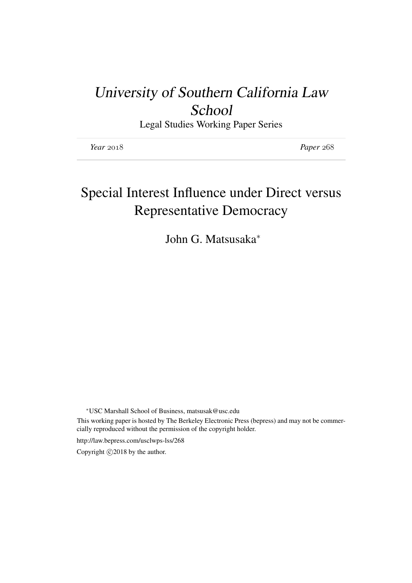## University of Southern California Law School

Legal Studies Working Paper Series

| <i>Year</i> 2018 | Paper 268 |
|------------------|-----------|
|------------------|-----------|

## Special Interest Influence under Direct versus Representative Democracy

John G. Matsusaka<sup>∗</sup>

<sup>∗</sup>USC Marshall School of Business, matsusak@usc.edu

This working paper is hosted by The Berkeley Electronic Press (bepress) and may not be commercially reproduced without the permission of the copyright holder.

http://law.bepress.com/usclwps-lss/268

Copyright  $\odot$  2018 by the author.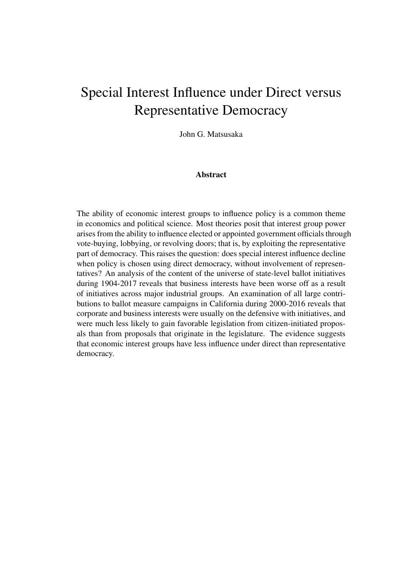## Special Interest Influence under Direct versus Representative Democracy

John G. Matsusaka

## Abstract

The ability of economic interest groups to influence policy is a common theme in economics and political science. Most theories posit that interest group power arises from the ability to influence elected or appointed government officials through vote-buying, lobbying, or revolving doors; that is, by exploiting the representative part of democracy. This raises the question: does special interest influence decline when policy is chosen using direct democracy, without involvement of representatives? An analysis of the content of the universe of state-level ballot initiatives during 1904-2017 reveals that business interests have been worse off as a result of initiatives across major industrial groups. An examination of all large contributions to ballot measure campaigns in California during 2000-2016 reveals that corporate and business interests were usually on the defensive with initiatives, and were much less likely to gain favorable legislation from citizen-initiated proposals than from proposals that originate in the legislature. The evidence suggests that economic interest groups have less influence under direct than representative democracy.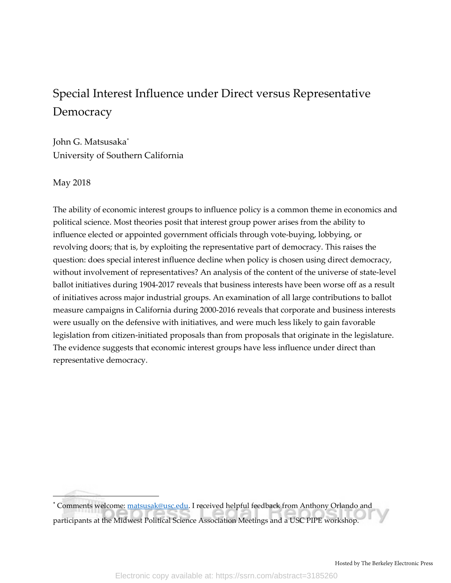## Special Interest Influence under Direct versus Representative **Democracy**

John G. Matsusaka[\\*](#page-2-0) University of Southern California

## May 2018

 $\overline{\phantom{a}}$ 

The ability of economic interest groups to influence policy is a common theme in economics and political science. Most theories posit that interest group power arises from the ability to influence elected or appointed government officials through vote-buying, lobbying, or revolving doors; that is, by exploiting the representative part of democracy. This raises the question: does special interest influence decline when policy is chosen using direct democracy, without involvement of representatives? An analysis of the content of the universe of state-level ballot initiatives during 1904-2017 reveals that business interests have been worse off as a result of initiatives across major industrial groups. An examination of all large contributions to ballot measure campaigns in California during 2000-2016 reveals that corporate and business interests were usually on the defensive with initiatives, and were much less likely to gain favorable legislation from citizen-initiated proposals than from proposals that originate in the legislature. The evidence suggests that economic interest groups have less influence under direct than representative democracy.

<span id="page-2-0"></span><sup>\*</sup> Comments welcome: [matsusak@usc.edu.](mailto:matsusak@usc.edu) I received helpful feedback from Anthony Orlando and participants at the Midwest Political Science Association Meetings and a USC PIPE workshop.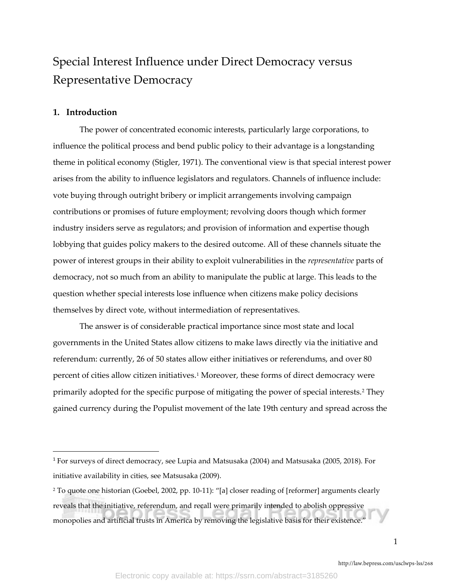## Special Interest Influence under Direct Democracy versus Representative Democracy

## **1. Introduction**

 $\overline{a}$ 

The power of concentrated economic interests, particularly large corporations, to influence the political process and bend public policy to their advantage is a longstanding theme in political economy (Stigler, 1971). The conventional view is that special interest power arises from the ability to influence legislators and regulators. Channels of influence include: vote buying through outright bribery or implicit arrangements involving campaign contributions or promises of future employment; revolving doors though which former industry insiders serve as regulators; and provision of information and expertise though lobbying that guides policy makers to the desired outcome. All of these channels situate the power of interest groups in their ability to exploit vulnerabilities in the *representative* parts of democracy, not so much from an ability to manipulate the public at large. This leads to the question whether special interests lose influence when citizens make policy decisions themselves by direct vote, without intermediation of representatives.

The answer is of considerable practical importance since most state and local governments in the United States allow citizens to make laws directly via the initiative and referendum: currently, 26 of 50 states allow either initiatives or referendums, and over 80 percent of cities allow citizen initiatives.[1](#page-3-0) Moreover, these forms of direct democracy were primarily adopted for the specific purpose of mitigating the power of special interests.<sup>[2](#page-3-1)</sup> They gained currency during the Populist movement of the late 19th century and spread across the

<span id="page-3-0"></span><sup>1</sup> For surveys of direct democracy, see Lupia and Matsusaka (2004) and Matsusaka (2005, 2018). For initiative availability in cities, see Matsusaka (2009).

<span id="page-3-1"></span><sup>2</sup> To quote one historian (Goebel, 2002, pp. 10-11): "[a] closer reading of [reformer] arguments clearly reveals that the initiative, referendum, and recall were primarily intended to abolish oppressive monopolies and artificial trusts in America by removing the legislative basis for their existence."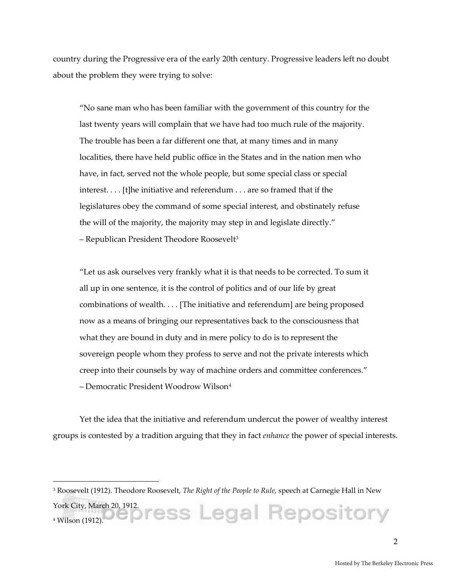country during the Progressive era of the early 20th century. Progressive leaders left no doubt about the problem they were trying to solve:

"No sane man who has been familiar with the government of this country for the last twenty years will complain that we have had too much rule of the majority. The trouble has been a far different one that, at many times and in many localities, there have held public office in the States and in the nation men who have, in fact, served not the whole people, but some special class or special interest. . . . [t]he initiative and referendum . . . are so framed that if the legislatures obey the command of some special interest, and obstinately refuse the will of the majority, the majority may step in and legislate directly." – Republican President Theodore Roosevelt[3](#page-4-0)

"Let us ask ourselves very frankly what it is that needs to be corrected. To sum it all up in one sentence, it is the control of politics and of our life by great combinations of wealth. . . . [The initiative and referendum] are being proposed now as a means of bringing our representatives back to the consciousness that what they are bound in duty and in mere policy to do is to represent the sovereign people whom they profess to serve and not the private interests which creep into their counsels by way of machine orders and committee conferences." – Democratic President Woodrow Wilson[4](#page-4-1)

Yet the idea that the initiative and referendum undercut the power of wealthy interest groups is contested by a tradition arguing that they in fact *enhance* the power of special interests.

York City, March 20, 1912.

<span id="page-4-1"></span><sup>4</sup> Wilson (1912).

<span id="page-4-0"></span><sup>3</sup> Roosevelt (1912). Theodore Roosevelt, *The Right of the People to Rule*, speech at Carnegie Hall in New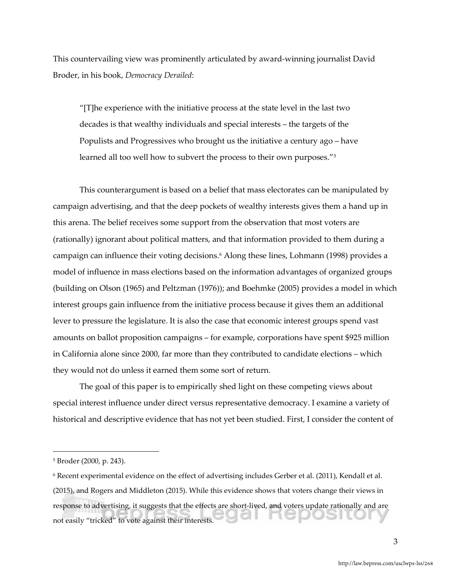This countervailing view was prominently articulated by award-winning journalist David Broder, in his book, *Democracy Derailed*:

"[T]he experience with the initiative process at the state level in the last two decades is that wealthy individuals and special interests – the targets of the Populists and Progressives who brought us the initiative a century ago – have learned all too well how to subvert the process to their own purposes."<sup>[5](#page-5-0)</sup>

This counterargument is based on a belief that mass electorates can be manipulated by campaign advertising, and that the deep pockets of wealthy interests gives them a hand up in this arena. The belief receives some support from the observation that most voters are (rationally) ignorant about political matters, and that information provided to them during a campaign can influence their voting decisions.[6](#page-5-1) Along these lines, Lohmann (1998) provides a model of influence in mass elections based on the information advantages of organized groups (building on Olson (1965) and Peltzman (1976)); and Boehmke (2005) provides a model in which interest groups gain influence from the initiative process because it gives them an additional lever to pressure the legislature. It is also the case that economic interest groups spend vast amounts on ballot proposition campaigns – for example, corporations have spent \$925 million in California alone since 2000, far more than they contributed to candidate elections – which they would not do unless it earned them some sort of return.

 The goal of this paper is to empirically shed light on these competing views about special interest influence under direct versus representative democracy. I examine a variety of historical and descriptive evidence that has not yet been studied. First, I consider the content of

 $\overline{a}$ 

<span id="page-5-0"></span><sup>5</sup> Broder (2000, p. 243).

<span id="page-5-1"></span><sup>6</sup> Recent experimental evidence on the effect of advertising includes Gerber et al. (2011), Kendall et al. (2015), and Rogers and Middleton (2015). While this evidence shows that voters change their views in response to advertising, it suggests that the effects are short-lived, and voters update rationally and are not easily "tricked" to vote against their interests.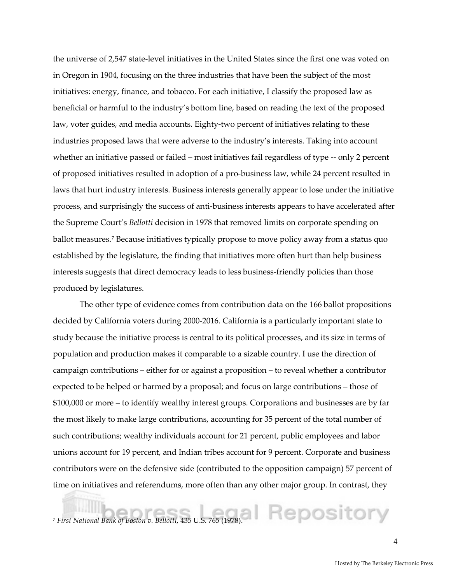the universe of 2,547 state-level initiatives in the United States since the first one was voted on in Oregon in 1904, focusing on the three industries that have been the subject of the most initiatives: energy, finance, and tobacco. For each initiative, I classify the proposed law as beneficial or harmful to the industry's bottom line, based on reading the text of the proposed law, voter guides, and media accounts. Eighty-two percent of initiatives relating to these industries proposed laws that were adverse to the industry's interests. Taking into account whether an initiative passed or failed – most initiatives fail regardless of type -- only 2 percent of proposed initiatives resulted in adoption of a pro-business law, while 24 percent resulted in laws that hurt industry interests. Business interests generally appear to lose under the initiative process, and surprisingly the success of anti-business interests appears to have accelerated after the Supreme Court's *Bellotti* decision in 1978 that removed limits on corporate spending on ballot measures.[7](#page-6-0) Because initiatives typically propose to move policy away from a status quo established by the legislature, the finding that initiatives more often hurt than help business interests suggests that direct democracy leads to less business-friendly policies than those produced by legislatures.

 The other type of evidence comes from contribution data on the 166 ballot propositions decided by California voters during 2000-2016. California is a particularly important state to study because the initiative process is central to its political processes, and its size in terms of population and production makes it comparable to a sizable country. I use the direction of campaign contributions – either for or against a proposition – to reveal whether a contributor expected to be helped or harmed by a proposal; and focus on large contributions – those of \$100,000 or more – to identify wealthy interest groups. Corporations and businesses are by far the most likely to make large contributions, accounting for 35 percent of the total number of such contributions; wealthy individuals account for 21 percent, public employees and labor unions account for 19 percent, and Indian tribes account for 9 percent. Corporate and business contributors were on the defensive side (contributed to the opposition campaign) 57 percent of time on initiatives and referendums, more often than any other major group. In contrast, they

<span id="page-6-0"></span><sup>7</sup> *First National Bank of Boston v. Bellotti*, 435 U.S. 765 (1978).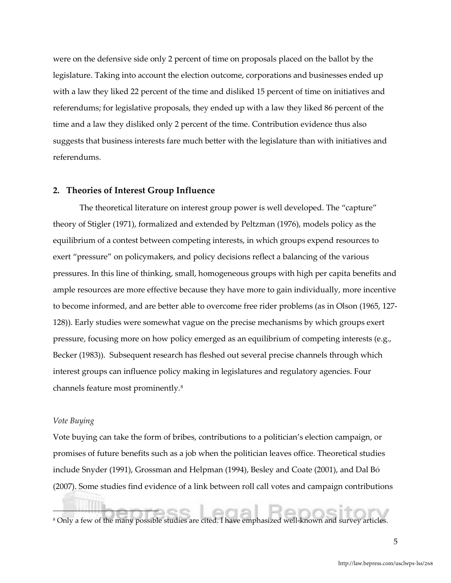were on the defensive side only 2 percent of time on proposals placed on the ballot by the legislature. Taking into account the election outcome, corporations and businesses ended up with a law they liked 22 percent of the time and disliked 15 percent of time on initiatives and referendums; for legislative proposals, they ended up with a law they liked 86 percent of the time and a law they disliked only 2 percent of the time. Contribution evidence thus also suggests that business interests fare much better with the legislature than with initiatives and referendums.

#### **2. Theories of Interest Group Influence**

 The theoretical literature on interest group power is well developed. The "capture" theory of Stigler (1971), formalized and extended by Peltzman (1976), models policy as the equilibrium of a contest between competing interests, in which groups expend resources to exert "pressure" on policymakers, and policy decisions reflect a balancing of the various pressures. In this line of thinking, small, homogeneous groups with high per capita benefits and ample resources are more effective because they have more to gain individually, more incentive to become informed, and are better able to overcome free rider problems (as in Olson (1965, 127- 128)). Early studies were somewhat vague on the precise mechanisms by which groups exert pressure, focusing more on how policy emerged as an equilibrium of competing interests (e.g., Becker (1983)). Subsequent research has fleshed out several precise channels through which interest groups can influence policy making in legislatures and regulatory agencies. Four channels feature most prominently.[8](#page-7-0)

#### *Vote Buying*

**HITTLE** 

 $\overline{\phantom{a}}$ 

Vote buying can take the form of bribes, contributions to a politician's election campaign, or promises of future benefits such as a job when the politician leaves office. Theoretical studies include Snyder (1991), Grossman and Helpman (1994), Besley and Coate (2001), and Dal Bό (2007). Some studies find evidence of a link between roll call votes and campaign contributions

<span id="page-7-0"></span><sup>8</sup> Only a few of the many possible studies are cited. I have emphasized well-known and survey articles.

 $C<sub>0</sub>$ 

Ronne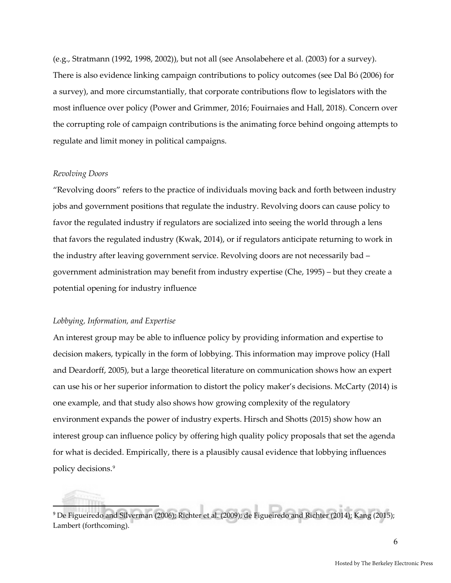(e.g., Stratmann (1992, 1998, 2002)), but not all (see Ansolabehere et al. (2003) for a survey). There is also evidence linking campaign contributions to policy outcomes (see Dal Bό (2006) for a survey), and more circumstantially, that corporate contributions flow to legislators with the most influence over policy (Power and Grimmer, 2016; Fouirnaies and Hall, 2018). Concern over the corrupting role of campaign contributions is the animating force behind ongoing attempts to regulate and limit money in political campaigns.

## *Revolving Doors*

"Revolving doors" refers to the practice of individuals moving back and forth between industry jobs and government positions that regulate the industry. Revolving doors can cause policy to favor the regulated industry if regulators are socialized into seeing the world through a lens that favors the regulated industry (Kwak, 2014), or if regulators anticipate returning to work in the industry after leaving government service. Revolving doors are not necessarily bad – government administration may benefit from industry expertise (Che, 1995) – but they create a potential opening for industry influence

## *Lobbying, Information, and Expertise*

An interest group may be able to influence policy by providing information and expertise to decision makers, typically in the form of lobbying. This information may improve policy (Hall and Deardorff, 2005), but a large theoretical literature on communication shows how an expert can use his or her superior information to distort the policy maker's decisions. McCarty (2014) is one example, and that study also shows how growing complexity of the regulatory environment expands the power of industry experts. Hirsch and Shotts (2015) show how an interest group can influence policy by offering high quality policy proposals that set the agenda for what is decided. Empirically, there is a plausibly causal evidence that lobbying influences policy decisions.[9](#page-8-0)

<span id="page-8-0"></span><sup>9</sup> De Figueiredo and Silverman (2006); Richter et al. (2009); de Figueiredo and Richter (2014); Kang (2015); Lambert (forthcoming).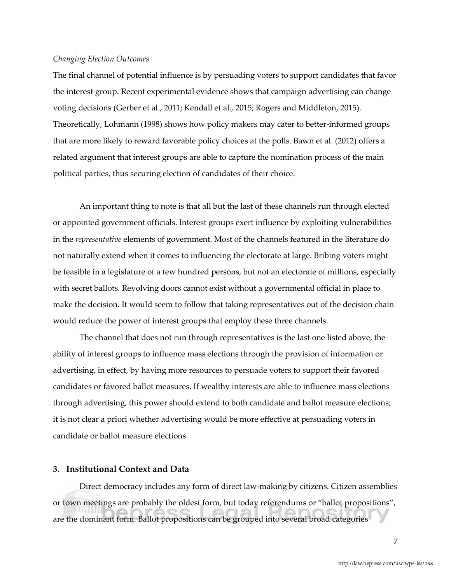## *Changing Election Outcomes*

The final channel of potential influence is by persuading voters to support candidates that favor the interest group. Recent experimental evidence shows that campaign advertising can change voting decisions (Gerber et al., 2011; Kendall et al., 2015; Rogers and Middleton, 2015). Theoretically, Lohmann (1998) shows how policy makers may cater to better-informed groups that are more likely to reward favorable policy choices at the polls. Bawn et al. (2012) offers a related argument that interest groups are able to capture the nomination process of the main political parties, thus securing election of candidates of their choice.

 An important thing to note is that all but the last of these channels run through elected or appointed government officials. Interest groups exert influence by exploiting vulnerabilities in the *representative* elements of government. Most of the channels featured in the literature do not naturally extend when it comes to influencing the electorate at large. Bribing voters might be feasible in a legislature of a few hundred persons, but not an electorate of millions, especially with secret ballots. Revolving doors cannot exist without a governmental official in place to make the decision. It would seem to follow that taking representatives out of the decision chain would reduce the power of interest groups that employ these three channels.

The channel that does not run through representatives is the last one listed above, the ability of interest groups to influence mass elections through the provision of information or advertising, in effect, by having more resources to persuade voters to support their favored candidates or favored ballot measures. If wealthy interests are able to influence mass elections through advertising, this power should extend to both candidate and ballot measure elections; it is not clear a priori whether advertising would be more effective at persuading voters in candidate or ballot measure elections.

## **3. Institutional Context and Data**

Direct democracy includes any form of direct law-making by citizens. Citizen assemblies or town meetings are probably the oldest form, but today referendums or "ballot propositions", are the dominant form. Ballot propositions can be grouped into several broad categories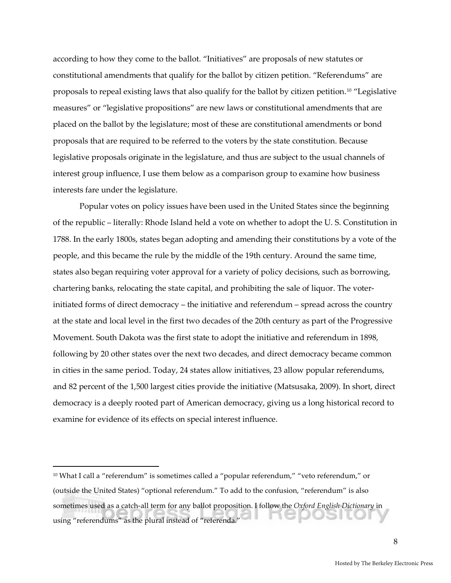according to how they come to the ballot. "Initiatives" are proposals of new statutes or constitutional amendments that qualify for the ballot by citizen petition. "Referendums" are proposals to repeal existing laws that also qualify for the ballot by citizen petition.[10](#page-10-0) "Legislative measures" or "legislative propositions" are new laws or constitutional amendments that are placed on the ballot by the legislature; most of these are constitutional amendments or bond proposals that are required to be referred to the voters by the state constitution. Because legislative proposals originate in the legislature, and thus are subject to the usual channels of interest group influence, I use them below as a comparison group to examine how business interests fare under the legislature.

Popular votes on policy issues have been used in the United States since the beginning of the republic – literally: Rhode Island held a vote on whether to adopt the U. S. Constitution in 1788. In the early 1800s, states began adopting and amending their constitutions by a vote of the people, and this became the rule by the middle of the 19th century. Around the same time, states also began requiring voter approval for a variety of policy decisions, such as borrowing, chartering banks, relocating the state capital, and prohibiting the sale of liquor. The voterinitiated forms of direct democracy – the initiative and referendum – spread across the country at the state and local level in the first two decades of the 20th century as part of the Progressive Movement. South Dakota was the first state to adopt the initiative and referendum in 1898, following by 20 other states over the next two decades, and direct democracy became common in cities in the same period. Today, 24 states allow initiatives, 23 allow popular referendums, and 82 percent of the 1,500 largest cities provide the initiative (Matsusaka, 2009). In short, direct democracy is a deeply rooted part of American democracy, giving us a long historical record to examine for evidence of its effects on special interest influence.

 $\overline{a}$ 

<span id="page-10-0"></span><sup>&</sup>lt;sup>10</sup> What I call a "referendum" is sometimes called a "popular referendum," "veto referendum," or (outside the United States) "optional referendum." To add to the confusion, "referendum" is also sometimes used as a catch-all term for any ballot proposition. I follow the *Oxford English Dictionary* in using "referendums" as the plural instead of "referenda."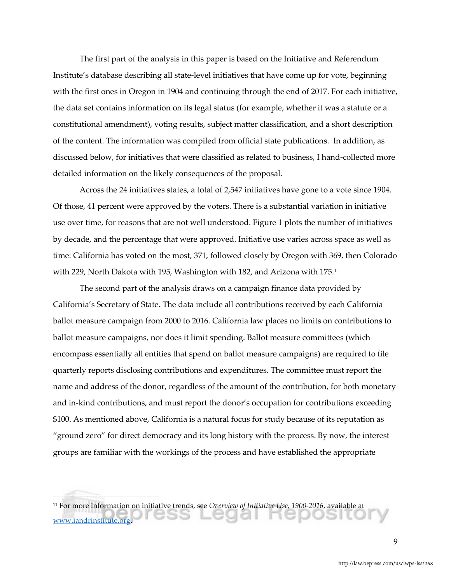The first part of the analysis in this paper is based on the Initiative and Referendum Institute's database describing all state-level initiatives that have come up for vote, beginning with the first ones in Oregon in 1904 and continuing through the end of 2017. For each initiative, the data set contains information on its legal status (for example, whether it was a statute or a constitutional amendment), voting results, subject matter classification, and a short description of the content. The information was compiled from official state publications. In addition, as discussed below, for initiatives that were classified as related to business, I hand-collected more detailed information on the likely consequences of the proposal.

 Across the 24 initiatives states, a total of 2,547 initiatives have gone to a vote since 1904. Of those, 41 percent were approved by the voters. There is a substantial variation in initiative use over time, for reasons that are not well understood. Figure 1 plots the number of initiatives by decade, and the percentage that were approved. Initiative use varies across space as well as time: California has voted on the most, 371, followed closely by Oregon with 369, then Colorado with 229, North Dakota with 195, Washington with 182, and Arizona with 175.[11](#page-11-0)

The second part of the analysis draws on a campaign finance data provided by California's Secretary of State. The data include all contributions received by each California ballot measure campaign from 2000 to 2016. California law places no limits on contributions to ballot measure campaigns, nor does it limit spending. Ballot measure committees (which encompass essentially all entities that spend on ballot measure campaigns) are required to file quarterly reports disclosing contributions and expenditures. The committee must report the name and address of the donor, regardless of the amount of the contribution, for both monetary and in-kind contributions, and must report the donor's occupation for contributions exceeding \$100. As mentioned above, California is a natural focus for study because of its reputation as "ground zero" for direct democracy and its long history with the process. By now, the interest groups are familiar with the workings of the process and have established the appropriate

<span id="page-11-0"></span><sup>11</sup> For more information on initiative trends, see *Overview of Initiative Use, 1900-2016*, available at [www.iandrinstitute.org.](http://www.iandrinstitute.org/)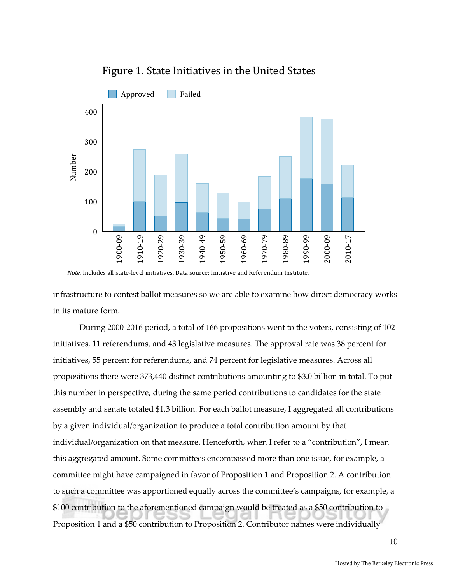

Figure 1. State Initiatives in the United States

*Note.* Includes all state-level initiatives. Data source: Initiative and Referendum Institute.

infrastructure to contest ballot measures so we are able to examine how direct democracy works in its mature form.

 During 2000-2016 period, a total of 166 propositions went to the voters, consisting of 102 initiatives, 11 referendums, and 43 legislative measures. The approval rate was 38 percent for initiatives, 55 percent for referendums, and 74 percent for legislative measures. Across all propositions there were 373,440 distinct contributions amounting to \$3.0 billion in total. To put this number in perspective, during the same period contributions to candidates for the state assembly and senate totaled \$1.3 billion. For each ballot measure, I aggregated all contributions by a given individual/organization to produce a total contribution amount by that individual/organization on that measure. Henceforth, when I refer to a "contribution", I mean this aggregated amount. Some committees encompassed more than one issue, for example, a committee might have campaigned in favor of Proposition 1 and Proposition 2. A contribution to such a committee was apportioned equally across the committee's campaigns, for example, a \$100 contribution to the aforementioned campaign would be treated as a \$50 contribution to Proposition 1 and a \$50 contribution to Proposition 2. Contributor names were individually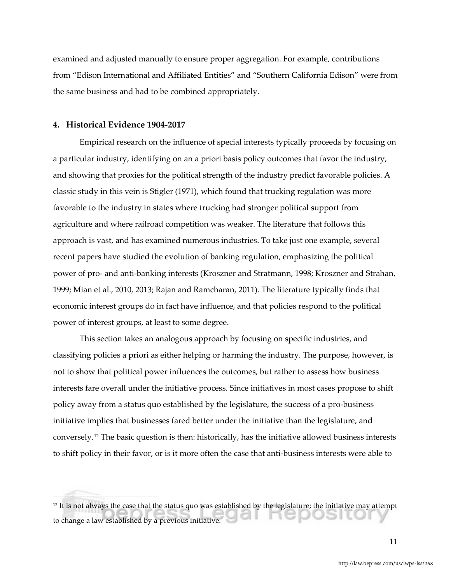examined and adjusted manually to ensure proper aggregation. For example, contributions from "Edison International and Affiliated Entities" and "Southern California Edison" were from the same business and had to be combined appropriately.

## **4. Historical Evidence 1904-2017**

 $\overline{\phantom{a}}$ 

Empirical research on the influence of special interests typically proceeds by focusing on a particular industry, identifying on an a priori basis policy outcomes that favor the industry, and showing that proxies for the political strength of the industry predict favorable policies. A classic study in this vein is Stigler (1971), which found that trucking regulation was more favorable to the industry in states where trucking had stronger political support from agriculture and where railroad competition was weaker. The literature that follows this approach is vast, and has examined numerous industries. To take just one example, several recent papers have studied the evolution of banking regulation, emphasizing the political power of pro- and anti-banking interests (Kroszner and Stratmann, 1998; Kroszner and Strahan, 1999; Mian et al., 2010, 2013; Rajan and Ramcharan, 2011). The literature typically finds that economic interest groups do in fact have influence, and that policies respond to the political power of interest groups, at least to some degree.

 This section takes an analogous approach by focusing on specific industries, and classifying policies a priori as either helping or harming the industry. The purpose, however, is not to show that political power influences the outcomes, but rather to assess how business interests fare overall under the initiative process. Since initiatives in most cases propose to shift policy away from a status quo established by the legislature, the success of a pro-business initiative implies that businesses fared better under the initiative than the legislature, and conversely.[12](#page-13-0) The basic question is then: historically, has the initiative allowed business interests to shift policy in their favor, or is it more often the case that anti-business interests were able to

<span id="page-13-0"></span><sup>&</sup>lt;sup>12</sup> It is not always the case that the status quo was established by the legislature; the initiative may attempt to change a law established by a previous initiative.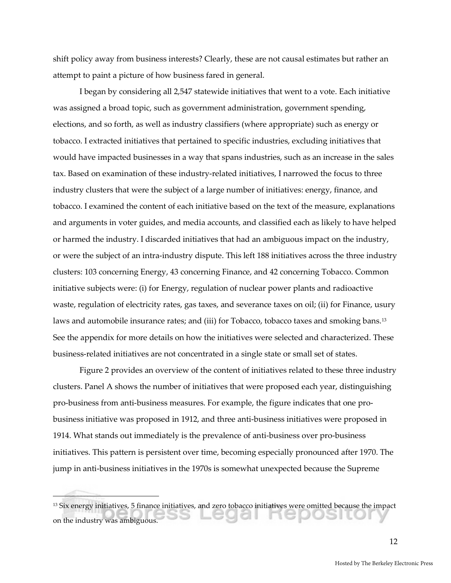shift policy away from business interests? Clearly, these are not causal estimates but rather an attempt to paint a picture of how business fared in general.

 I began by considering all 2,547 statewide initiatives that went to a vote. Each initiative was assigned a broad topic, such as government administration, government spending, elections, and so forth, as well as industry classifiers (where appropriate) such as energy or tobacco. I extracted initiatives that pertained to specific industries, excluding initiatives that would have impacted businesses in a way that spans industries, such as an increase in the sales tax. Based on examination of these industry-related initiatives, I narrowed the focus to three industry clusters that were the subject of a large number of initiatives: energy, finance, and tobacco. I examined the content of each initiative based on the text of the measure, explanations and arguments in voter guides, and media accounts, and classified each as likely to have helped or harmed the industry. I discarded initiatives that had an ambiguous impact on the industry, or were the subject of an intra-industry dispute. This left 188 initiatives across the three industry clusters: 103 concerning Energy, 43 concerning Finance, and 42 concerning Tobacco. Common initiative subjects were: (i) for Energy, regulation of nuclear power plants and radioactive waste, regulation of electricity rates, gas taxes, and severance taxes on oil; (ii) for Finance, usury laws and automobile insurance rates; and (iii) for Tobacco, tobacco taxes and smoking bans.<sup>13</sup> See the appendix for more details on how the initiatives were selected and characterized. These business-related initiatives are not concentrated in a single state or small set of states.

Figure 2 provides an overview of the content of initiatives related to these three industry clusters. Panel A shows the number of initiatives that were proposed each year, distinguishing pro-business from anti-business measures. For example, the figure indicates that one probusiness initiative was proposed in 1912, and three anti-business initiatives were proposed in 1914. What stands out immediately is the prevalence of anti-business over pro-business initiatives. This pattern is persistent over time, becoming especially pronounced after 1970. The jump in anti-business initiatives in the 1970s is somewhat unexpected because the Supreme

<span id="page-14-0"></span><sup>13</sup> Six energy initiatives, 5 finance initiatives, and zero tobacco initiatives were omitted because the impact on the industry was ambiguous.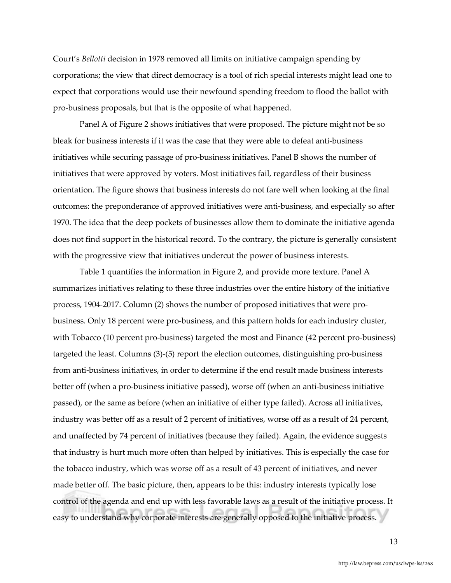Court's *Bellotti* decision in 1978 removed all limits on initiative campaign spending by corporations; the view that direct democracy is a tool of rich special interests might lead one to expect that corporations would use their newfound spending freedom to flood the ballot with pro-business proposals, but that is the opposite of what happened.

Panel A of Figure 2 shows initiatives that were proposed. The picture might not be so bleak for business interests if it was the case that they were able to defeat anti-business initiatives while securing passage of pro-business initiatives. Panel B shows the number of initiatives that were approved by voters. Most initiatives fail, regardless of their business orientation. The figure shows that business interests do not fare well when looking at the final outcomes: the preponderance of approved initiatives were anti-business, and especially so after 1970. The idea that the deep pockets of businesses allow them to dominate the initiative agenda does not find support in the historical record. To the contrary, the picture is generally consistent with the progressive view that initiatives undercut the power of business interests.

 Table 1 quantifies the information in Figure 2, and provide more texture. Panel A summarizes initiatives relating to these three industries over the entire history of the initiative process, 1904-2017. Column (2) shows the number of proposed initiatives that were probusiness. Only 18 percent were pro-business, and this pattern holds for each industry cluster, with Tobacco (10 percent pro-business) targeted the most and Finance (42 percent pro-business) targeted the least. Columns (3)-(5) report the election outcomes, distinguishing pro-business from anti-business initiatives, in order to determine if the end result made business interests better off (when a pro-business initiative passed), worse off (when an anti-business initiative passed), or the same as before (when an initiative of either type failed). Across all initiatives, industry was better off as a result of 2 percent of initiatives, worse off as a result of 24 percent, and unaffected by 74 percent of initiatives (because they failed). Again, the evidence suggests that industry is hurt much more often than helped by initiatives. This is especially the case for the tobacco industry, which was worse off as a result of 43 percent of initiatives, and never made better off. The basic picture, then, appears to be this: industry interests typically lose control of the agenda and end up with less favorable laws as a result of the initiative process. It easy to understand why corporate interests are generally opposed to the initiative process.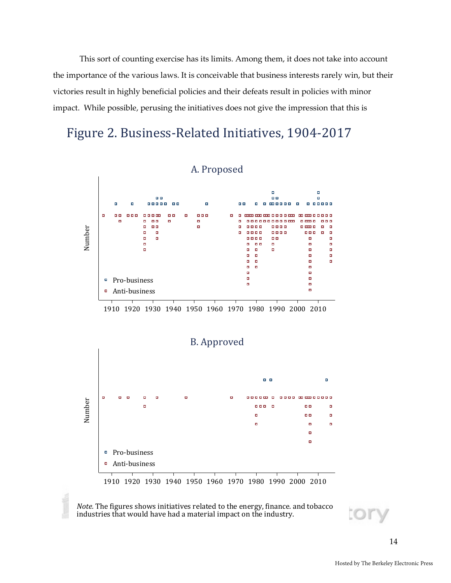This sort of counting exercise has its limits. Among them, it does not take into account the importance of the various laws. It is conceivable that business interests rarely win, but their victories result in highly beneficial policies and their defeats result in policies with minor impact. While possible, perusing the initiatives does not give the impression that this is



*Note.* The figures shows initiatives related to the energy, finance. and tobacco industries that would have had a material impact on the industry.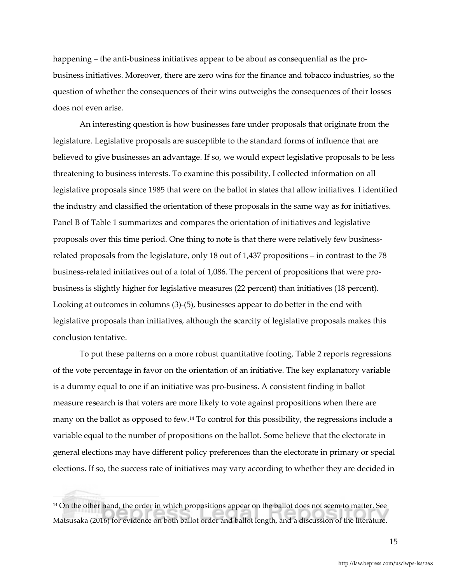happening – the anti-business initiatives appear to be about as consequential as the probusiness initiatives. Moreover, there are zero wins for the finance and tobacco industries, so the question of whether the consequences of their wins outweighs the consequences of their losses does not even arise.

 An interesting question is how businesses fare under proposals that originate from the legislature. Legislative proposals are susceptible to the standard forms of influence that are believed to give businesses an advantage. If so, we would expect legislative proposals to be less threatening to business interests. To examine this possibility, I collected information on all legislative proposals since 1985 that were on the ballot in states that allow initiatives. I identified the industry and classified the orientation of these proposals in the same way as for initiatives. Panel B of Table 1 summarizes and compares the orientation of initiatives and legislative proposals over this time period. One thing to note is that there were relatively few businessrelated proposals from the legislature, only 18 out of 1,437 propositions – in contrast to the 78 business-related initiatives out of a total of 1,086. The percent of propositions that were probusiness is slightly higher for legislative measures (22 percent) than initiatives (18 percent). Looking at outcomes in columns (3)-(5), businesses appear to do better in the end with legislative proposals than initiatives, although the scarcity of legislative proposals makes this conclusion tentative.

 To put these patterns on a more robust quantitative footing, Table 2 reports regressions of the vote percentage in favor on the orientation of an initiative. The key explanatory variable is a dummy equal to one if an initiative was pro-business. A consistent finding in ballot measure research is that voters are more likely to vote against propositions when there are many on the ballot as opposed to few.[14](#page-17-0) To control for this possibility, the regressions include a variable equal to the number of propositions on the ballot. Some believe that the electorate in general elections may have different policy preferences than the electorate in primary or special elections. If so, the success rate of initiatives may vary according to whether they are decided in

<span id="page-17-0"></span><sup>&</sup>lt;sup>14</sup> On the other hand, the order in which propositions appear on the ballot does not seem to matter. See Matsusaka (2016) for evidence on both ballot order and ballot length, and a discussion of the literature.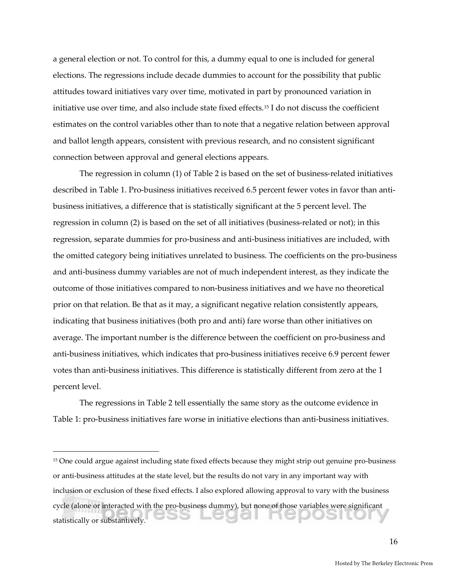a general election or not. To control for this, a dummy equal to one is included for general elections. The regressions include decade dummies to account for the possibility that public attitudes toward initiatives vary over time, motivated in part by pronounced variation in initiative use over time, and also include state fixed effects.[15](#page-18-0) I do not discuss the coefficient estimates on the control variables other than to note that a negative relation between approval and ballot length appears, consistent with previous research, and no consistent significant connection between approval and general elections appears.

 The regression in column (1) of Table 2 is based on the set of business-related initiatives described in Table 1. Pro-business initiatives received 6.5 percent fewer votes in favor than antibusiness initiatives, a difference that is statistically significant at the 5 percent level. The regression in column (2) is based on the set of all initiatives (business-related or not); in this regression, separate dummies for pro-business and anti-business initiatives are included, with the omitted category being initiatives unrelated to business. The coefficients on the pro-business and anti-business dummy variables are not of much independent interest, as they indicate the outcome of those initiatives compared to non-business initiatives and we have no theoretical prior on that relation. Be that as it may, a significant negative relation consistently appears, indicating that business initiatives (both pro and anti) fare worse than other initiatives on average. The important number is the difference between the coefficient on pro-business and anti-business initiatives, which indicates that pro-business initiatives receive 6.9 percent fewer votes than anti-business initiatives. This difference is statistically different from zero at the 1 percent level.

The regressions in Table 2 tell essentially the same story as the outcome evidence in Table 1: pro-business initiatives fare worse in initiative elections than anti-business initiatives.

 $\overline{a}$ 

<span id="page-18-0"></span><sup>15</sup> One could argue against including state fixed effects because they might strip out genuine pro-business or anti-business attitudes at the state level, but the results do not vary in any important way with inclusion or exclusion of these fixed effects. I also explored allowing approval to vary with the business cycle (alone or interacted with the pro-business dummy), but none of those variables were significant statistically or substantively.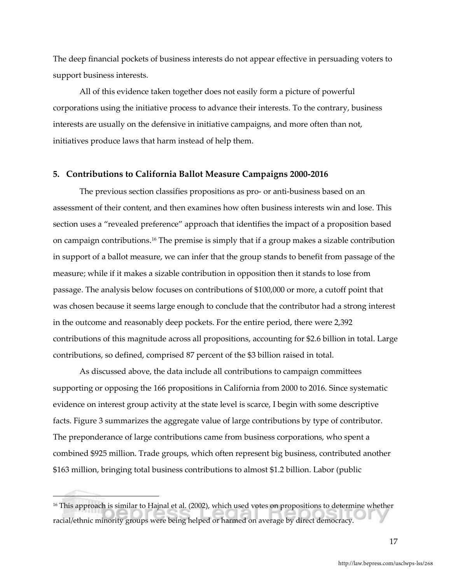The deep financial pockets of business interests do not appear effective in persuading voters to support business interests.

 All of this evidence taken together does not easily form a picture of powerful corporations using the initiative process to advance their interests. To the contrary, business interests are usually on the defensive in initiative campaigns, and more often than not, initiatives produce laws that harm instead of help them.

### **5. Contributions to California Ballot Measure Campaigns 2000-2016**

 The previous section classifies propositions as pro- or anti-business based on an assessment of their content, and then examines how often business interests win and lose. This section uses a "revealed preference" approach that identifies the impact of a proposition based on campaign contributions.[16](#page-19-0) The premise is simply that if a group makes a sizable contribution in support of a ballot measure, we can infer that the group stands to benefit from passage of the measure; while if it makes a sizable contribution in opposition then it stands to lose from passage. The analysis below focuses on contributions of \$100,000 or more, a cutoff point that was chosen because it seems large enough to conclude that the contributor had a strong interest in the outcome and reasonably deep pockets. For the entire period, there were 2,392 contributions of this magnitude across all propositions, accounting for \$2.6 billion in total. Large contributions, so defined, comprised 87 percent of the \$3 billion raised in total.

 As discussed above, the data include all contributions to campaign committees supporting or opposing the 166 propositions in California from 2000 to 2016. Since systematic evidence on interest group activity at the state level is scarce, I begin with some descriptive facts. Figure 3 summarizes the aggregate value of large contributions by type of contributor. The preponderance of large contributions came from business corporations, who spent a combined \$925 million. Trade groups, which often represent big business, contributed another \$163 million, bringing total business contributions to almost \$1.2 billion. Labor (public

<span id="page-19-0"></span><sup>&</sup>lt;sup>16</sup> This approach is similar to Hajnal et al. (2002), which used votes on propositions to determine whether racial/ethnic minority groups were being helped or harmed on average by direct democracy.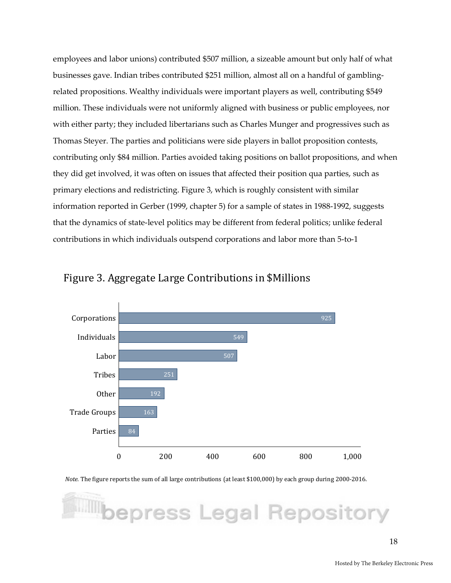employees and labor unions) contributed \$507 million, a sizeable amount but only half of what businesses gave. Indian tribes contributed \$251 million, almost all on a handful of gamblingrelated propositions. Wealthy individuals were important players as well, contributing \$549 million. These individuals were not uniformly aligned with business or public employees, nor with either party; they included libertarians such as Charles Munger and progressives such as Thomas Steyer. The parties and politicians were side players in ballot proposition contests, contributing only \$84 million. Parties avoided taking positions on ballot propositions, and when they did get involved, it was often on issues that affected their position qua parties, such as primary elections and redistricting. Figure 3, which is roughly consistent with similar information reported in Gerber (1999, chapter 5) for a sample of states in 1988-1992, suggests that the dynamics of state-level politics may be different from federal politics; unlike federal contributions in which individuals outspend corporations and labor more than 5-to-1



## Figure 3. Aggregate Large Contributions in \$Millions

*Note.* The figure reports the sum of all large contributions (at least \$100,000) by each group during 2000-2016.

bepress Legal Repository

18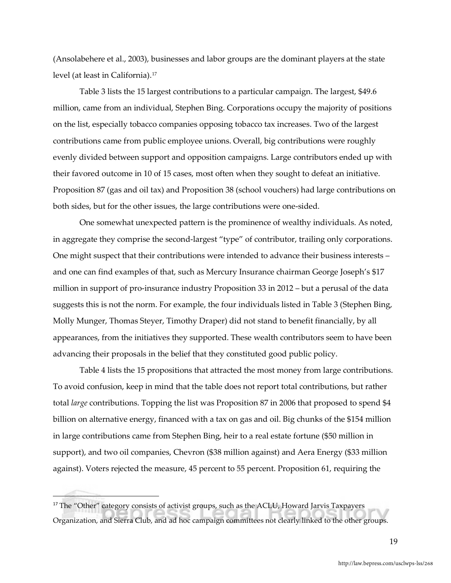(Ansolabehere et al., 2003), businesses and labor groups are the dominant players at the state level (at least in California).<sup>[17](#page-21-0)</sup>

 Table 3 lists the 15 largest contributions to a particular campaign. The largest, \$49.6 million, came from an individual, Stephen Bing. Corporations occupy the majority of positions on the list, especially tobacco companies opposing tobacco tax increases. Two of the largest contributions came from public employee unions. Overall, big contributions were roughly evenly divided between support and opposition campaigns. Large contributors ended up with their favored outcome in 10 of 15 cases, most often when they sought to defeat an initiative. Proposition 87 (gas and oil tax) and Proposition 38 (school vouchers) had large contributions on both sides, but for the other issues, the large contributions were one-sided.

 One somewhat unexpected pattern is the prominence of wealthy individuals. As noted, in aggregate they comprise the second-largest "type" of contributor, trailing only corporations. One might suspect that their contributions were intended to advance their business interests – and one can find examples of that, such as Mercury Insurance chairman George Joseph's \$17 million in support of pro-insurance industry Proposition 33 in 2012 – but a perusal of the data suggests this is not the norm. For example, the four individuals listed in Table 3 (Stephen Bing, Molly Munger, Thomas Steyer, Timothy Draper) did not stand to benefit financially, by all appearances, from the initiatives they supported. These wealth contributors seem to have been advancing their proposals in the belief that they constituted good public policy.

Table 4 lists the 15 propositions that attracted the most money from large contributions. To avoid confusion, keep in mind that the table does not report total contributions, but rather total *large* contributions. Topping the list was Proposition 87 in 2006 that proposed to spend \$4 billion on alternative energy, financed with a tax on gas and oil. Big chunks of the \$154 million in large contributions came from Stephen Bing, heir to a real estate fortune (\$50 million in support), and two oil companies, Chevron (\$38 million against) and Aera Energy (\$33 million against). Voters rejected the measure, 45 percent to 55 percent. Proposition 61, requiring the

<span id="page-21-0"></span><sup>&</sup>lt;sup>17</sup> The "Other" category consists of activist groups, such as the ACLU, Howard Jarvis Taxpayers Organization, and Sierra Club, and ad hoc campaign committees not clearly linked to the other groups.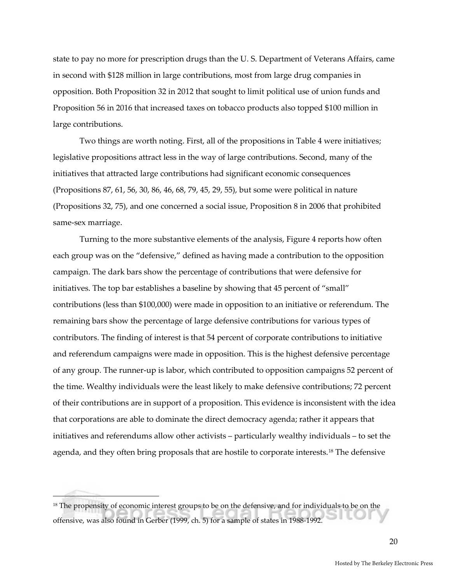state to pay no more for prescription drugs than the U. S. Department of Veterans Affairs, came in second with \$128 million in large contributions, most from large drug companies in opposition. Both Proposition 32 in 2012 that sought to limit political use of union funds and Proposition 56 in 2016 that increased taxes on tobacco products also topped \$100 million in large contributions.

Two things are worth noting. First, all of the propositions in Table 4 were initiatives; legislative propositions attract less in the way of large contributions. Second, many of the initiatives that attracted large contributions had significant economic consequences (Propositions 87, 61, 56, 30, 86, 46, 68, 79, 45, 29, 55), but some were political in nature (Propositions 32, 75), and one concerned a social issue, Proposition 8 in 2006 that prohibited same-sex marriage.

 Turning to the more substantive elements of the analysis, Figure 4 reports how often each group was on the "defensive," defined as having made a contribution to the opposition campaign. The dark bars show the percentage of contributions that were defensive for initiatives. The top bar establishes a baseline by showing that 45 percent of "small" contributions (less than \$100,000) were made in opposition to an initiative or referendum. The remaining bars show the percentage of large defensive contributions for various types of contributors. The finding of interest is that 54 percent of corporate contributions to initiative and referendum campaigns were made in opposition. This is the highest defensive percentage of any group. The runner-up is labor, which contributed to opposition campaigns 52 percent of the time. Wealthy individuals were the least likely to make defensive contributions; 72 percent of their contributions are in support of a proposition. This evidence is inconsistent with the idea that corporations are able to dominate the direct democracy agenda; rather it appears that initiatives and referendums allow other activists – particularly wealthy individuals – to set the agenda, and they often bring proposals that are hostile to corporate interests.[18](#page-22-0) The defensive

<span id="page-22-0"></span><sup>&</sup>lt;sup>18</sup> The propensity of economic interest groups to be on the defensive, and for individuals to be on the offensive, was also found in Gerber (1999, ch. 5) for a sample of states in 1988-1992.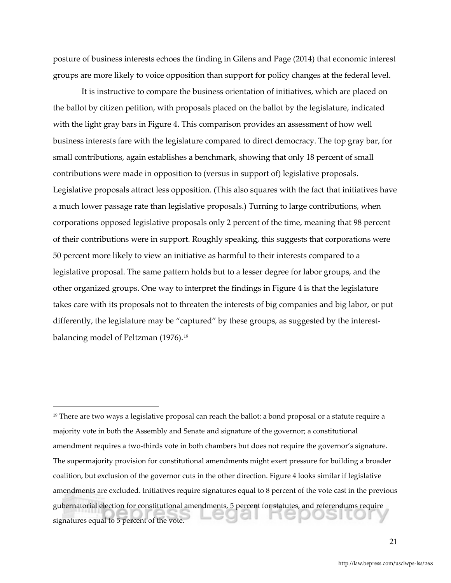posture of business interests echoes the finding in Gilens and Page (2014) that economic interest groups are more likely to voice opposition than support for policy changes at the federal level.

 It is instructive to compare the business orientation of initiatives, which are placed on the ballot by citizen petition, with proposals placed on the ballot by the legislature, indicated with the light gray bars in Figure 4. This comparison provides an assessment of how well business interests fare with the legislature compared to direct democracy. The top gray bar, for small contributions, again establishes a benchmark, showing that only 18 percent of small contributions were made in opposition to (versus in support of) legislative proposals. Legislative proposals attract less opposition. (This also squares with the fact that initiatives have a much lower passage rate than legislative proposals.) Turning to large contributions, when corporations opposed legislative proposals only 2 percent of the time, meaning that 98 percent of their contributions were in support. Roughly speaking, this suggests that corporations were 50 percent more likely to view an initiative as harmful to their interests compared to a legislative proposal. The same pattern holds but to a lesser degree for labor groups, and the other organized groups. One way to interpret the findings in Figure 4 is that the legislature takes care with its proposals not to threaten the interests of big companies and big labor, or put differently, the legislature may be "captured" by these groups, as suggested by the interest-balancing model of Peltzman ([19](#page-23-0)76).<sup>19</sup>

<span id="page-23-0"></span><sup>19</sup> There are two ways a legislative proposal can reach the ballot: a bond proposal or a statute require a majority vote in both the Assembly and Senate and signature of the governor; a constitutional amendment requires a two-thirds vote in both chambers but does not require the governor's signature. The supermajority provision for constitutional amendments might exert pressure for building a broader coalition, but exclusion of the governor cuts in the other direction. Figure 4 looks similar if legislative amendments are excluded. Initiatives require signatures equal to 8 percent of the vote cast in the previous gubernatorial election for constitutional amendments, 5 percent for statutes, and referendums require signatures equal to 5 percent of the vote.

 $\overline{a}$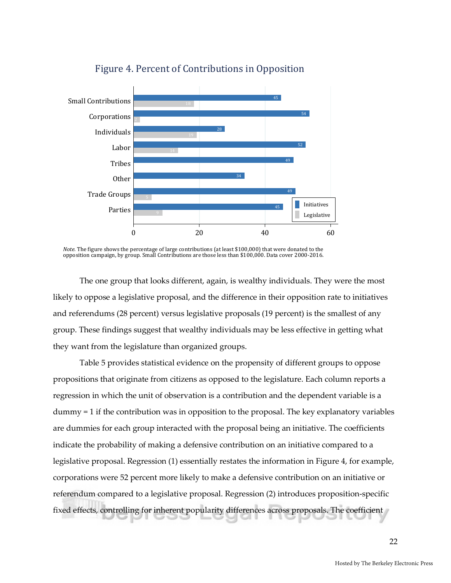

Figure 4. Percent of Contributions in Opposition

*Note.* The figure shows the percentage of large contributions (at least \$100,000) that were donated to the opposition campaign, by group. Small Contributions are those less than \$100,000. Data cover 2000-2016.

The one group that looks different, again, is wealthy individuals. They were the most likely to oppose a legislative proposal, and the difference in their opposition rate to initiatives and referendums (28 percent) versus legislative proposals (19 percent) is the smallest of any group. These findings suggest that wealthy individuals may be less effective in getting what they want from the legislature than organized groups.

 Table 5 provides statistical evidence on the propensity of different groups to oppose propositions that originate from citizens as opposed to the legislature. Each column reports a regression in which the unit of observation is a contribution and the dependent variable is a dummy = 1 if the contribution was in opposition to the proposal. The key explanatory variables are dummies for each group interacted with the proposal being an initiative. The coefficients indicate the probability of making a defensive contribution on an initiative compared to a legislative proposal. Regression (1) essentially restates the information in Figure 4, for example, corporations were 52 percent more likely to make a defensive contribution on an initiative or referendum compared to a legislative proposal. Regression (2) introduces proposition-specific fixed effects, controlling for inherent popularity differences across proposals. The coefficient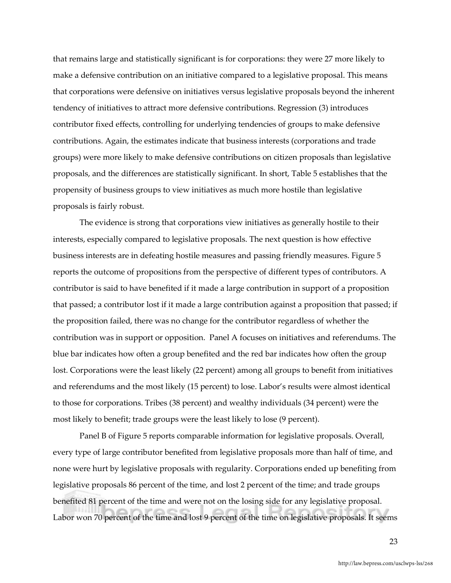that remains large and statistically significant is for corporations: they were 27 more likely to make a defensive contribution on an initiative compared to a legislative proposal. This means that corporations were defensive on initiatives versus legislative proposals beyond the inherent tendency of initiatives to attract more defensive contributions. Regression (3) introduces contributor fixed effects, controlling for underlying tendencies of groups to make defensive contributions. Again, the estimates indicate that business interests (corporations and trade groups) were more likely to make defensive contributions on citizen proposals than legislative proposals, and the differences are statistically significant. In short, Table 5 establishes that the propensity of business groups to view initiatives as much more hostile than legislative proposals is fairly robust.

The evidence is strong that corporations view initiatives as generally hostile to their interests, especially compared to legislative proposals. The next question is how effective business interests are in defeating hostile measures and passing friendly measures. Figure 5 reports the outcome of propositions from the perspective of different types of contributors. A contributor is said to have benefited if it made a large contribution in support of a proposition that passed; a contributor lost if it made a large contribution against a proposition that passed; if the proposition failed, there was no change for the contributor regardless of whether the contribution was in support or opposition. Panel A focuses on initiatives and referendums. The blue bar indicates how often a group benefited and the red bar indicates how often the group lost. Corporations were the least likely (22 percent) among all groups to benefit from initiatives and referendums and the most likely (15 percent) to lose. Labor's results were almost identical to those for corporations. Tribes (38 percent) and wealthy individuals (34 percent) were the most likely to benefit; trade groups were the least likely to lose (9 percent).

 Panel B of Figure 5 reports comparable information for legislative proposals. Overall, every type of large contributor benefited from legislative proposals more than half of time, and none were hurt by legislative proposals with regularity. Corporations ended up benefiting from legislative proposals 86 percent of the time, and lost 2 percent of the time; and trade groups benefited 81 percent of the time and were not on the losing side for any legislative proposal. Labor won 70 percent of the time and lost 9 percent of the time on legislative proposals. It seems

23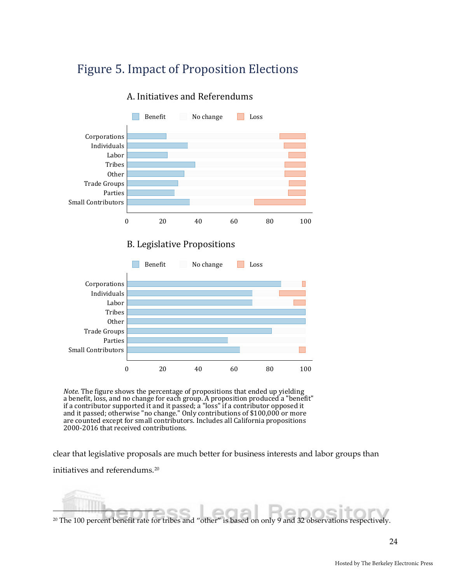## Figure 5. Impact of Proposition Elections



## A. Initiatives and Referendums





*Note.* The figure shows the percentage of propositions that ended up yielding a benefit, loss, and no change for each group. A proposition produced a "benefit" if a contributor supported it and it passed; a "loss" if a contributor opposed it and it passed; otherwise "no change." Only contributions of \$100,000 or more are counted except for small contributors. Includes all California propositions 2000-2016 that received contributions.

clear that legislative proposals are much better for business interests and labor groups than initiatives and referendums.<sup>[20](#page-26-0)</sup>

<span id="page-26-0"></span> $\overline{\phantom{a}}$ <sup>20</sup> The 100 percent benefit rate for tribes and "other" is based on only 9 and 32 observations respectively.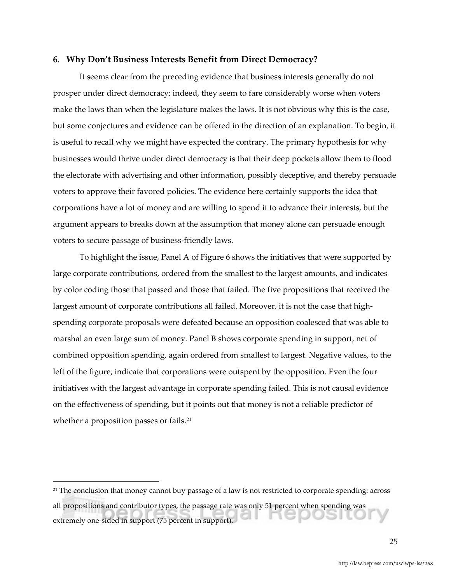### **6. Why Don't Business Interests Benefit from Direct Democracy?**

It seems clear from the preceding evidence that business interests generally do not prosper under direct democracy; indeed, they seem to fare considerably worse when voters make the laws than when the legislature makes the laws. It is not obvious why this is the case, but some conjectures and evidence can be offered in the direction of an explanation. To begin, it is useful to recall why we might have expected the contrary. The primary hypothesis for why businesses would thrive under direct democracy is that their deep pockets allow them to flood the electorate with advertising and other information, possibly deceptive, and thereby persuade voters to approve their favored policies. The evidence here certainly supports the idea that corporations have a lot of money and are willing to spend it to advance their interests, but the argument appears to breaks down at the assumption that money alone can persuade enough voters to secure passage of business-friendly laws.

To highlight the issue, Panel A of Figure 6 shows the initiatives that were supported by large corporate contributions, ordered from the smallest to the largest amounts, and indicates by color coding those that passed and those that failed. The five propositions that received the largest amount of corporate contributions all failed. Moreover, it is not the case that highspending corporate proposals were defeated because an opposition coalesced that was able to marshal an even large sum of money. Panel B shows corporate spending in support, net of combined opposition spending, again ordered from smallest to largest. Negative values, to the left of the figure, indicate that corporations were outspent by the opposition. Even the four initiatives with the largest advantage in corporate spending failed. This is not causal evidence on the effectiveness of spending, but it points out that money is not a reliable predictor of whether a proposition passes or fails.<sup>[21](#page-27-0)</sup>

<span id="page-27-0"></span><sup>21</sup> The conclusion that money cannot buy passage of a law is not restricted to corporate spending: across all propositions and contributor types, the passage rate was only 51 percent when spending was extremely one-sided in support (75 percent in support).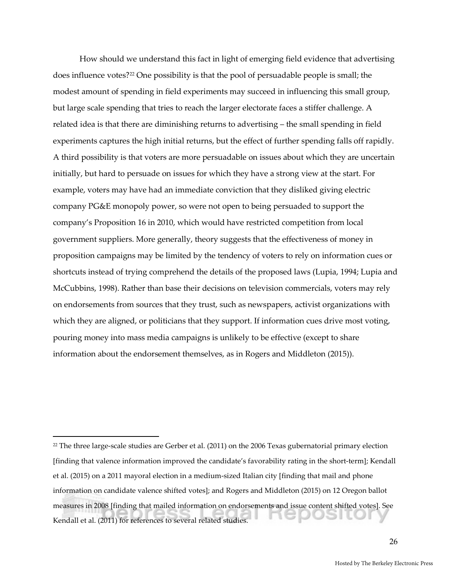How should we understand this fact in light of emerging field evidence that advertising does influence votes?[22](#page-28-0) One possibility is that the pool of persuadable people is small; the modest amount of spending in field experiments may succeed in influencing this small group, but large scale spending that tries to reach the larger electorate faces a stiffer challenge. A related idea is that there are diminishing returns to advertising – the small spending in field experiments captures the high initial returns, but the effect of further spending falls off rapidly. A third possibility is that voters are more persuadable on issues about which they are uncertain initially, but hard to persuade on issues for which they have a strong view at the start. For example, voters may have had an immediate conviction that they disliked giving electric company PG&E monopoly power, so were not open to being persuaded to support the company's Proposition 16 in 2010, which would have restricted competition from local government suppliers. More generally, theory suggests that the effectiveness of money in proposition campaigns may be limited by the tendency of voters to rely on information cues or shortcuts instead of trying comprehend the details of the proposed laws (Lupia, 1994; Lupia and McCubbins, 1998). Rather than base their decisions on television commercials, voters may rely on endorsements from sources that they trust, such as newspapers, activist organizations with which they are aligned, or politicians that they support. If information cues drive most voting, pouring money into mass media campaigns is unlikely to be effective (except to share information about the endorsement themselves, as in Rogers and Middleton (2015)).

<span id="page-28-0"></span><sup>&</sup>lt;sup>22</sup> The three large-scale studies are Gerber et al. (2011) on the 2006 Texas gubernatorial primary election [finding that valence information improved the candidate's favorability rating in the short-term]; Kendall et al. (2015) on a 2011 mayoral election in a medium-sized Italian city [finding that mail and phone information on candidate valence shifted votes]; and Rogers and Middleton (2015) on 12 Oregon ballot measures in 2008 [finding that mailed information on endorsements and issue content shifted votes]. See Kendall et al. (2011) for references to several related studies.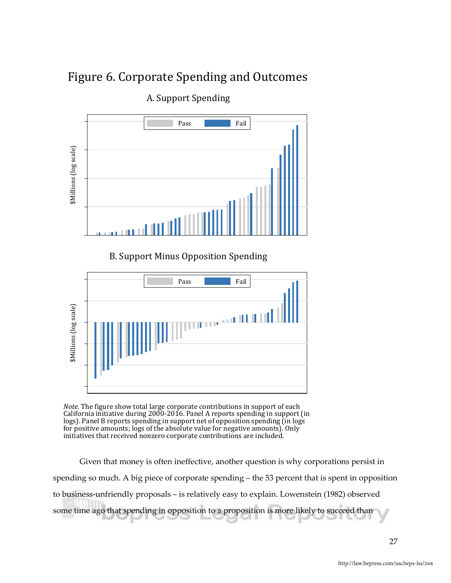## Figure 6. Corporate Spending and Outcomes



A. Support Spending

B. Support Minus Opposition Spending



*Note.* The figure show total large corporate contributions in support of each California initiative during 2000-2016. Panel A reports spending in support (in logs). Panel B reports spending in support net of opposition spending (in logs for positive amounts; logs of the absolute value for negative amounts). Only initiatives that received nonzero corporate contributions are included.

Given that money is often ineffective, another question is why corporations persist in spending so much. A big piece of corporate spending – the 53 percent that is spent in opposition to business-unfriendly proposals – is relatively easy to explain. Lowenstein (1982) observed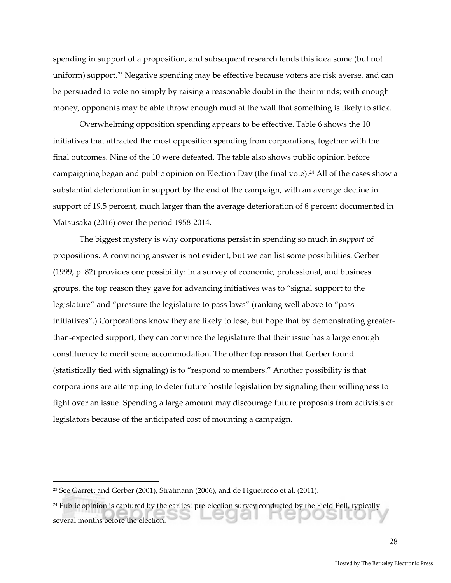spending in support of a proposition, and subsequent research lends this idea some (but not uniform) support.<sup>23</sup> Negative spending may be effective because voters are risk averse, and can be persuaded to vote no simply by raising a reasonable doubt in the their minds; with enough money, opponents may be able throw enough mud at the wall that something is likely to stick.

 Overwhelming opposition spending appears to be effective. Table 6 shows the 10 initiatives that attracted the most opposition spending from corporations, together with the final outcomes. Nine of the 10 were defeated. The table also shows public opinion before campaigning began and public opinion on Election Day (the final vote).<sup>[24](#page-30-1)</sup> All of the cases show a substantial deterioration in support by the end of the campaign, with an average decline in support of 19.5 percent, much larger than the average deterioration of 8 percent documented in Matsusaka (2016) over the period 1958-2014.

 The biggest mystery is why corporations persist in spending so much in *support* of propositions. A convincing answer is not evident, but we can list some possibilities. Gerber (1999, p. 82) provides one possibility: in a survey of economic, professional, and business groups, the top reason they gave for advancing initiatives was to "signal support to the legislature" and "pressure the legislature to pass laws" (ranking well above to "pass initiatives".) Corporations know they are likely to lose, but hope that by demonstrating greaterthan-expected support, they can convince the legislature that their issue has a large enough constituency to merit some accommodation. The other top reason that Gerber found (statistically tied with signaling) is to "respond to members." Another possibility is that corporations are attempting to deter future hostile legislation by signaling their willingness to fight over an issue. Spending a large amount may discourage future proposals from activists or legislators because of the anticipated cost of mounting a campaign.

<span id="page-30-0"></span><sup>23</sup> See Garrett and Gerber (2001), Stratmann (2006), and de Figueiredo et al. (2011).

<span id="page-30-1"></span><sup>&</sup>lt;sup>24</sup> Public opinion is captured by the earliest pre-election survey conducted by the Field Poll, typically several months before the election.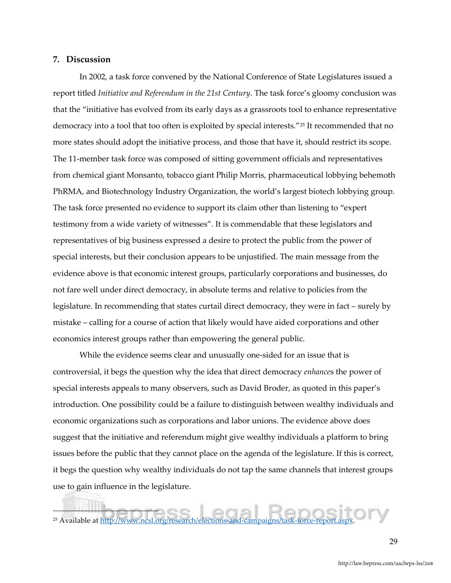## **7. Discussion**

 In 2002, a task force convened by the National Conference of State Legislatures issued a report titled *Initiative and Referendum in the 21st Century*. The task force's gloomy conclusion was that the "initiative has evolved from its early days as a grassroots tool to enhance representative democracy into a tool that too often is exploited by special interests."[25](#page-31-0) It recommended that no more states should adopt the initiative process, and those that have it, should restrict its scope. The 11-member task force was composed of sitting government officials and representatives from chemical giant Monsanto, tobacco giant Philip Morris, pharmaceutical lobbying behemoth PhRMA, and Biotechnology Industry Organization, the world's largest biotech lobbying group. The task force presented no evidence to support its claim other than listening to "expert testimony from a wide variety of witnesses". It is commendable that these legislators and representatives of big business expressed a desire to protect the public from the power of special interests, but their conclusion appears to be unjustified. The main message from the evidence above is that economic interest groups, particularly corporations and businesses, do not fare well under direct democracy, in absolute terms and relative to policies from the legislature. In recommending that states curtail direct democracy, they were in fact – surely by mistake – calling for a course of action that likely would have aided corporations and other economics interest groups rather than empowering the general public.

While the evidence seems clear and unusually one-sided for an issue that is controversial, it begs the question why the idea that direct democracy *enhance*s the power of special interests appeals to many observers, such as David Broder, as quoted in this paper's introduction. One possibility could be a failure to distinguish between wealthy individuals and economic organizations such as corporations and labor unions. The evidence above does suggest that the initiative and referendum might give wealthy individuals a platform to bring issues before the public that they cannot place on the agenda of the legislature. If this is correct, it begs the question why wealthy individuals do not tap the same channels that interest groups use to gain influence in the legislature.

<span id="page-31-0"></span> $\overline{\phantom{a}}$ <sup>25</sup> Available at http://www.ncsl.org/research/elections-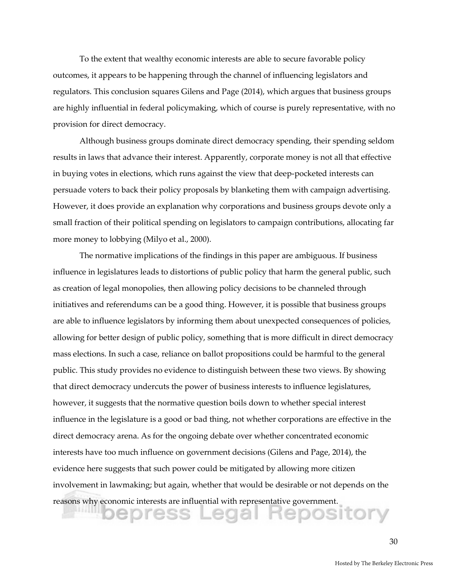To the extent that wealthy economic interests are able to secure favorable policy outcomes, it appears to be happening through the channel of influencing legislators and regulators. This conclusion squares Gilens and Page (2014), which argues that business groups are highly influential in federal policymaking, which of course is purely representative, with no provision for direct democracy.

Although business groups dominate direct democracy spending, their spending seldom results in laws that advance their interest. Apparently, corporate money is not all that effective in buying votes in elections, which runs against the view that deep-pocketed interests can persuade voters to back their policy proposals by blanketing them with campaign advertising. However, it does provide an explanation why corporations and business groups devote only a small fraction of their political spending on legislators to campaign contributions, allocating far more money to lobbying (Milyo et al., 2000).

The normative implications of the findings in this paper are ambiguous. If business influence in legislatures leads to distortions of public policy that harm the general public, such as creation of legal monopolies, then allowing policy decisions to be channeled through initiatives and referendums can be a good thing. However, it is possible that business groups are able to influence legislators by informing them about unexpected consequences of policies, allowing for better design of public policy, something that is more difficult in direct democracy mass elections. In such a case, reliance on ballot propositions could be harmful to the general public. This study provides no evidence to distinguish between these two views. By showing that direct democracy undercuts the power of business interests to influence legislatures, however, it suggests that the normative question boils down to whether special interest influence in the legislature is a good or bad thing, not whether corporations are effective in the direct democracy arena. As for the ongoing debate over whether concentrated economic interests have too much influence on government decisions (Gilens and Page, 2014), the evidence here suggests that such power could be mitigated by allowing more citizen involvement in lawmaking; but again, whether that would be desirable or not depends on the reasons why economic interests are influential with representative government.

tepositorv .egal .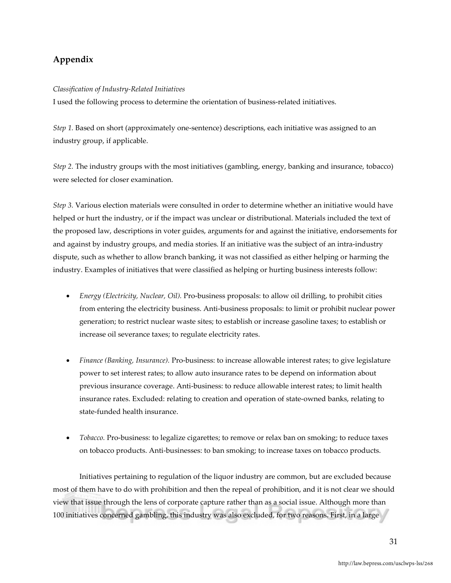## **Appendix**

## *Classification of Industry-Related Initiatives*

I used the following process to determine the orientation of business-related initiatives.

*Step 1.* Based on short (approximately one-sentence) descriptions, each initiative was assigned to an industry group, if applicable.

*Step 2.* The industry groups with the most initiatives (gambling, energy, banking and insurance, tobacco) were selected for closer examination.

*Step 3.* Various election materials were consulted in order to determine whether an initiative would have helped or hurt the industry, or if the impact was unclear or distributional. Materials included the text of the proposed law, descriptions in voter guides, arguments for and against the initiative, endorsements for and against by industry groups, and media stories. If an initiative was the subject of an intra-industry dispute, such as whether to allow branch banking, it was not classified as either helping or harming the industry. Examples of initiatives that were classified as helping or hurting business interests follow:

- *Energy (Electricity, Nuclear, Oil).* Pro-business proposals: to allow oil drilling, to prohibit cities from entering the electricity business. Anti-business proposals: to limit or prohibit nuclear power generation; to restrict nuclear waste sites; to establish or increase gasoline taxes; to establish or increase oil severance taxes; to regulate electricity rates.
- *Finance (Banking, Insurance).* Pro-business: to increase allowable interest rates; to give legislature power to set interest rates; to allow auto insurance rates to be depend on information about previous insurance coverage. Anti-business: to reduce allowable interest rates; to limit health insurance rates. Excluded: relating to creation and operation of state-owned banks, relating to state-funded health insurance.
- *Tobacco.* Pro-business: to legalize cigarettes; to remove or relax ban on smoking; to reduce taxes on tobacco products. Anti-businesses: to ban smoking; to increase taxes on tobacco products.

Initiatives pertaining to regulation of the liquor industry are common, but are excluded because most of them have to do with prohibition and then the repeal of prohibition, and it is not clear we should view that issue through the lens of corporate capture rather than as a social issue. Although more than 100 initiatives concerned gambling, this industry was also excluded, for two reasons. First, in a large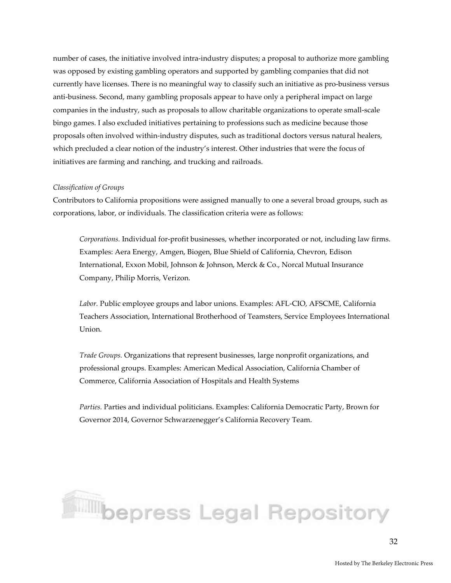number of cases, the initiative involved intra-industry disputes; a proposal to authorize more gambling was opposed by existing gambling operators and supported by gambling companies that did not currently have licenses. There is no meaningful way to classify such an initiative as pro-business versus anti-business. Second, many gambling proposals appear to have only a peripheral impact on large companies in the industry, such as proposals to allow charitable organizations to operate small-scale bingo games. I also excluded initiatives pertaining to professions such as medicine because those proposals often involved within-industry disputes, such as traditional doctors versus natural healers, which precluded a clear notion of the industry's interest. Other industries that were the focus of initiatives are farming and ranching, and trucking and railroads.

#### *Classification of Groups*

Contributors to California propositions were assigned manually to one a several broad groups, such as corporations, labor, or individuals. The classification criteria were as follows:

*Corporations.* Individual for-profit businesses, whether incorporated or not, including law firms. Examples: Aera Energy, Amgen, Biogen, Blue Shield of California, Chevron, Edison International, Exxon Mobil, Johnson & Johnson, Merck & Co., Norcal Mutual Insurance Company, Philip Morris, Verizon.

*Labor.* Public employee groups and labor unions. Examples: AFL-CIO, AFSCME, California Teachers Association, International Brotherhood of Teamsters, Service Employees International Union.

*Trade Groups.* Organizations that represent businesses, large nonprofit organizations, and professional groups. Examples: American Medical Association, California Chamber of Commerce, California Association of Hospitals and Health Systems

*Parties.* Parties and individual politicians. Examples: California Democratic Party, Brown for Governor 2014, Governor Schwarzenegger's California Recovery Team.

# **Mulle** bepress Legal Repository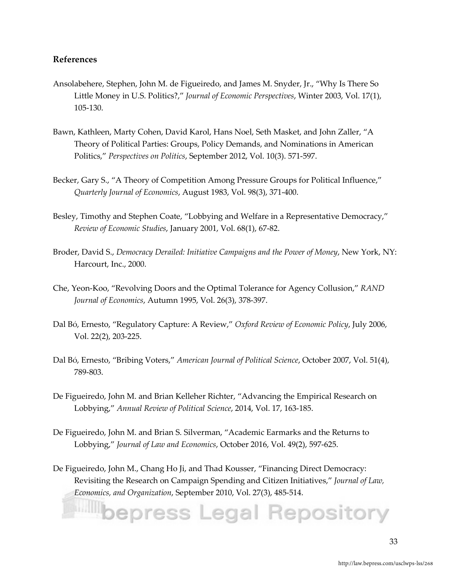## **References**

- Ansolabehere, Stephen, John M. de Figueiredo, and James M. Snyder, Jr., "Why Is There So Little Money in U.S. Politics?," *Journal of Economic Perspectives*, Winter 2003, Vol. 17(1), 105-130.
- Bawn, Kathleen, Marty Cohen, David Karol, Hans Noel, Seth Masket, and John Zaller, "A Theory of Political Parties: Groups, Policy Demands, and Nominations in American Politics," *Perspectives on Politics*, September 2012, Vol. 10(3). 571-597.
- Becker, Gary S., "A Theory of Competition Among Pressure Groups for Political Influence," *Quarterly Journal of Economics*, August 1983, Vol. 98(3), 371-400.
- Besley, Timothy and Stephen Coate, "Lobbying and Welfare in a Representative Democracy," *Review of Economic Studies*, January 2001, Vol. 68(1), 67-82.
- Broder, David S., *Democracy Derailed: Initiative Campaigns and the Power of Money*, New York, NY: Harcourt, Inc., 2000.
- Che, Yeon-Koo, "Revolving Doors and the Optimal Tolerance for Agency Collusion," *RAND Journal of Economics*, Autumn 1995, Vol. 26(3), 378-397.
- Dal Bό, Ernesto, "Regulatory Capture: A Review," *Oxford Review of Economic Policy*, July 2006, Vol. 22(2), 203-225.
- Dal Bό, Ernesto, "Bribing Voters," *American Journal of Political Science*, October 2007, Vol. 51(4), 789-803.
- De Figueiredo, John M. and Brian Kelleher Richter, "Advancing the Empirical Research on Lobbying," *Annual Review of Political Science*, 2014, Vol. 17, 163-185.
- De Figueiredo, John M. and Brian S. Silverman, "Academic Earmarks and the Returns to Lobbying," *Journal of Law and Economics*, October 2016, Vol. 49(2), 597-625.
- De Figueiredo, John M., Chang Ho Ji, and Thad Kousser, "Financing Direct Democracy: Revisiting the Research on Campaign Spending and Citizen Initiatives," *Journal of Law, Economics, and Organization*, September 2010, Vol. 27(3), 485-514.

# **Industries Legal Repository**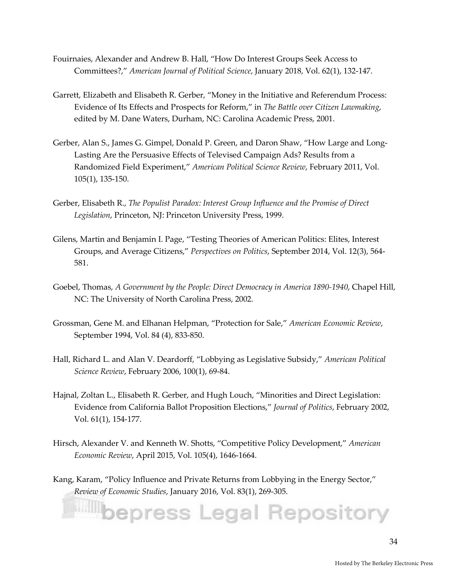- Fouirnaies, Alexander and Andrew B. Hall, "How Do Interest Groups Seek Access to Committees?," *American Journal of Political Science*, January 2018, Vol. 62(1), 132-147.
- Garrett, Elizabeth and Elisabeth R. Gerber, "Money in the Initiative and Referendum Process: Evidence of Its Effects and Prospects for Reform," in *The Battle over Citizen Lawmaking*, edited by M. Dane Waters, Durham, NC: Carolina Academic Press, 2001.
- Gerber, Alan S., James G. Gimpel, Donald P. Green, and Daron Shaw, "How Large and Long-Lasting Are the Persuasive Effects of Televised Campaign Ads? Results from a Randomized Field Experiment," *American Political Science Review*, February 2011, Vol. 105(1), 135-150.
- Gerber, Elisabeth R., *The Populist Paradox: Interest Group Influence and the Promise of Direct Legislation*, Princeton, NJ: Princeton University Press, 1999.
- Gilens, Martin and Benjamin I. Page, "Testing Theories of American Politics: Elites, Interest Groups, and Average Citizens," *Perspectives on Politics*, September 2014, Vol. 12(3), 564- 581.
- Goebel, Thomas, *A Government by the People: Direct Democracy in America 1890-1940*, Chapel Hill, NC: The University of North Carolina Press, 2002.
- Grossman, Gene M. and Elhanan Helpman, "Protection for Sale," *American Economic Review*, September 1994, Vol. 84 (4), 833-850.
- Hall, Richard L. and Alan V. Deardorff, "Lobbying as Legislative Subsidy," *American Political Science Review*, February 2006, 100(1), 69-84.
- Hajnal, Zoltan L., Elisabeth R. Gerber, and Hugh Louch, "Minorities and Direct Legislation: Evidence from California Ballot Proposition Elections," *Journal of Politics*, February 2002, Vol. 61(1), 154-177.
- Hirsch, Alexander V. and Kenneth W. Shotts, "Competitive Policy Development," *American Economic Review*, April 2015, Vol. 105(4), 1646-1664.
- Kang, Karam, "Policy Influence and Private Returns from Lobbying in the Energy Sector," *Review of Economic Studies*, January 2016, Vol. 83(1), 269-305.

# **In bepress Legal Repository**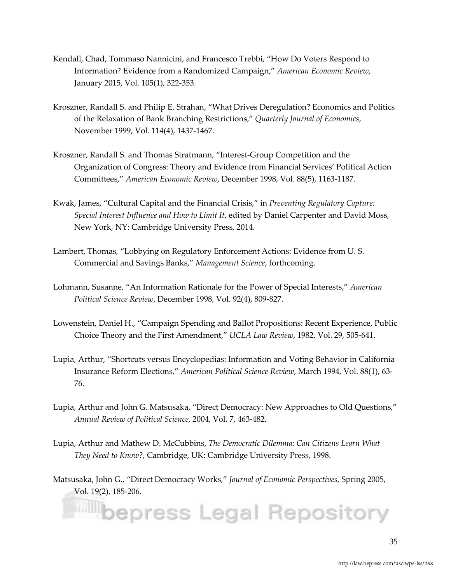- Kendall, Chad, Tommaso Nannicini, and Francesco Trebbi, "How Do Voters Respond to Information? Evidence from a Randomized Campaign," *American Economic Review*, January 2015, Vol. 105(1), 322-353.
- Kroszner, Randall S. and Philip E. Strahan, "What Drives Deregulation? Economics and Politics of the Relaxation of Bank Branching Restrictions," *Quarterly Journal of Economics*, November 1999, Vol. 114(4), 1437-1467.
- Kroszner, Randall S. and Thomas Stratmann, "Interest-Group Competition and the Organization of Congress: Theory and Evidence from Financial Services' Political Action Committees," *American Economic Review*, December 1998, Vol. 88(5), 1163-1187.
- Kwak, James, "Cultural Capital and the Financial Crisis," in *Preventing Regulatory Capture: Special Interest Influence and How to Limit It*, edited by Daniel Carpenter and David Moss, New York, NY: Cambridge University Press, 2014.
- Lambert, Thomas, "Lobbying on Regulatory Enforcement Actions: Evidence from U. S. Commercial and Savings Banks," *Management Science*, forthcoming.
- Lohmann, Susanne, "An Information Rationale for the Power of Special Interests," *American Political Science Review*, December 1998, Vol. 92(4), 809-827.
- Lowenstein, Daniel H., "Campaign Spending and Ballot Propositions: Recent Experience, Public Choice Theory and the First Amendment," *UCLA Law Review*, 1982, Vol. 29, 505-641.
- Lupia, Arthur, "Shortcuts versus Encyclopedias: Information and Voting Behavior in California Insurance Reform Elections," *American Political Science Review*, March 1994, Vol. 88(1), 63- 76.
- Lupia, Arthur and John G. Matsusaka, "Direct Democracy: New Approaches to Old Questions," *Annual Review of Political Science*, 2004, Vol. 7, 463-482.
- Lupia, Arthur and Mathew D. McCubbins, *The Democratic Dilemma: Can Citizens Learn What They Need to Know?*, Cambridge, UK: Cambridge University Press, 1998.
- Matsusaka, John G., "Direct Democracy Works," *Journal of Economic Perspectives*, Spring 2005, Vol. 19(2), 185-206.

# **Internet bepress Legal Repository**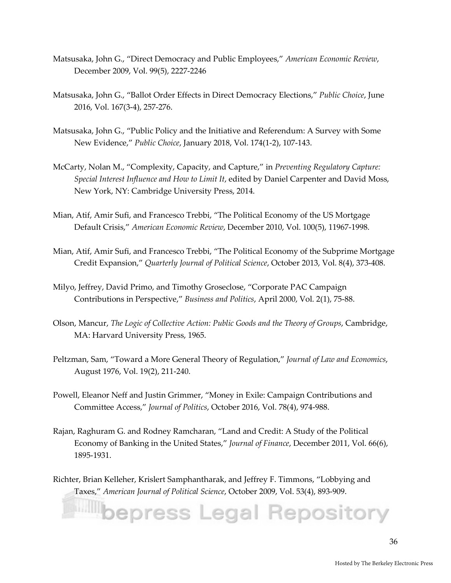- Matsusaka, John G., "Direct Democracy and Public Employees," *American Economic Review*, December 2009, Vol. 99(5), 2227-2246
- Matsusaka, John G., "Ballot Order Effects in Direct Democracy Elections," *Public Choice*, June 2016, Vol. 167(3-4), 257-276.
- Matsusaka, John G., "Public Policy and the Initiative and Referendum: A Survey with Some New Evidence," *Public Choice*, January 2018, Vol. 174(1-2), 107-143.
- McCarty, Nolan M., "Complexity, Capacity, and Capture," in *Preventing Regulatory Capture: Special Interest Influence and How to Limit It*, edited by Daniel Carpenter and David Moss, New York, NY: Cambridge University Press, 2014.
- Mian, Atif, Amir Sufi, and Francesco Trebbi, "The Political Economy of the US Mortgage Default Crisis," *American Economic Review*, December 2010, Vol. 100(5), 11967-1998.
- Mian, Atif, Amir Sufi, and Francesco Trebbi, "The Political Economy of the Subprime Mortgage Credit Expansion," *Quarterly Journal of Political Science*, October 2013, Vol. 8(4), 373-408.
- Milyo, Jeffrey, David Primo, and Timothy Groseclose, "Corporate PAC Campaign Contributions in Perspective," *Business and Politics*, April 2000, Vol. 2(1), 75-88.
- Olson, Mancur, *The Logic of Collective Action: Public Goods and the Theory of Groups*, Cambridge, MA: Harvard University Press, 1965.
- Peltzman, Sam, "Toward a More General Theory of Regulation," *Journal of Law and Economics*, August 1976, Vol. 19(2), 211-240.
- Powell, Eleanor Neff and Justin Grimmer, "Money in Exile: Campaign Contributions and Committee Access," *Journal of Politics*, October 2016, Vol. 78(4), 974-988.
- Rajan, Raghuram G. and Rodney Ramcharan, "Land and Credit: A Study of the Political Economy of Banking in the United States," *Journal of Finance*, December 2011, Vol. 66(6), 1895-1931.

Richter, Brian Kelleher, Krislert Samphantharak, and Jeffrey F. Timmons, "Lobbying and Taxes," *American Journal of Political Science*, October 2009, Vol. 53(4), 893-909.

# **Depress Legal Repository**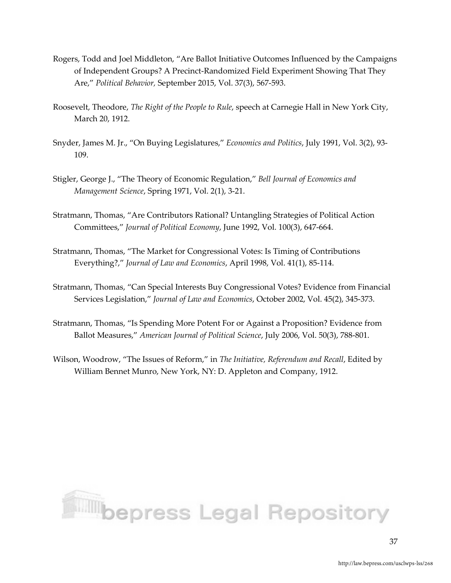- Rogers, Todd and Joel Middleton, "Are Ballot Initiative Outcomes Influenced by the Campaigns of Independent Groups? A Precinct-Randomized Field Experiment Showing That They Are," *Political Behavior,* September 2015, Vol. 37(3), 567-593.
- Roosevelt, Theodore, *The Right of the People to Rule*, speech at Carnegie Hall in New York City, March 20, 1912.
- Snyder, James M. Jr., "On Buying Legislatures," *Economics and Politics*, July 1991, Vol. 3(2), 93- 109.
- Stigler, George J., "The Theory of Economic Regulation," *Bell Journal of Economics and Management Science*, Spring 1971, Vol. 2(1), 3-21.
- Stratmann, Thomas, "Are Contributors Rational? Untangling Strategies of Political Action Committees," *Journal of Political Economy*, June 1992, Vol. 100(3), 647-664.
- Stratmann, Thomas, "The Market for Congressional Votes: Is Timing of Contributions Everything?," *Journal of Law and Economics*, April 1998, Vol. 41(1), 85-114.
- Stratmann, Thomas, "Can Special Interests Buy Congressional Votes? Evidence from Financial Services Legislation," *Journal of Law and Economics*, October 2002, Vol. 45(2), 345-373.
- Stratmann, Thomas, "Is Spending More Potent For or Against a Proposition? Evidence from Ballot Measures," *American Journal of Political Science*, July 2006, Vol. 50(3), 788-801.
- Wilson, Woodrow, "The Issues of Reform," in *The Initiative, Referendum and Recall*, Edited by William Bennet Munro, New York, NY: D. Appleton and Company, 1912.

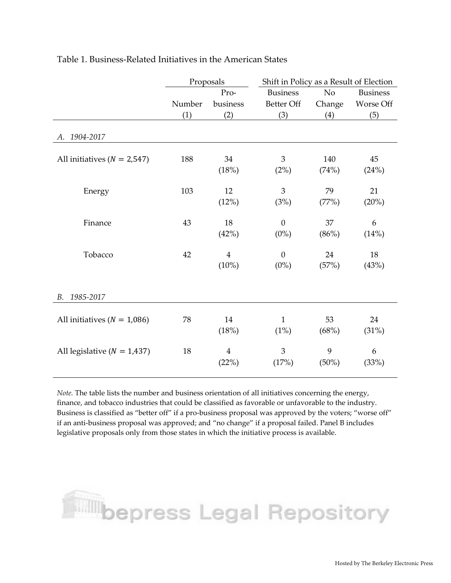|                                 | Proposals |                            | Shift in Policy as a Result of Election |               |                 |  |
|---------------------------------|-----------|----------------------------|-----------------------------------------|---------------|-----------------|--|
|                                 | Pro-      |                            | <b>Business</b>                         | No            | <b>Business</b> |  |
|                                 | Number    | business                   | Better Off                              | Change        | Worse Off       |  |
|                                 | (1)       | (2)                        | (3)                                     | (4)           | (5)             |  |
| A. 1904-2017                    |           |                            |                                         |               |                 |  |
| All initiatives ( $N = 2,547$ ) | 188       | 34<br>(18%)                | 3<br>(2%)                               | 140<br>(74%)  | 45<br>(24%)     |  |
| Energy                          | 103       | 12<br>(12%)                | 3<br>(3%)                               | 79<br>(77%)   | 21<br>(20%)     |  |
| Finance                         | 43        | 18<br>(42%)                | $\boldsymbol{0}$<br>$(0\%)$             | 37<br>(86%)   | 6<br>(14%)      |  |
| Tobacco                         | 42        | $\overline{4}$<br>$(10\%)$ | $\theta$<br>$(0\%)$                     | 24<br>(57%)   | 18<br>(43%)     |  |
| 1985-2017<br>В.                 |           |                            |                                         |               |                 |  |
| All initiatives ( $N = 1,086$ ) | 78        | 14<br>(18%)                | $\mathbf{1}$<br>(1%)                    | 53<br>(68%)   | 24<br>(31%)     |  |
| All legislative ( $N = 1,437$ ) | 18        | $\overline{4}$<br>(22%)    | 3<br>(17%)                              | 9<br>$(50\%)$ | 6<br>(33%)      |  |

Table 1. Business-Related Initiatives in the American States

*Note.* The table lists the number and business orientation of all initiatives concerning the energy, finance, and tobacco industries that could be classified as favorable or unfavorable to the industry. Business is classified as "better off" if a pro-business proposal was approved by the voters; "worse off" if an anti-business proposal was approved; and "no change" if a proposal failed. Panel B includes legislative proposals only from those states in which the initiative process is available.

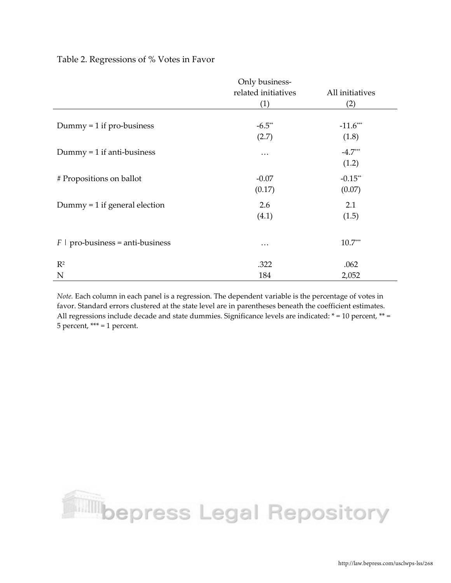|                                                     | Only business-      |                 |
|-----------------------------------------------------|---------------------|-----------------|
|                                                     | related initiatives | All initiatives |
|                                                     | (1)                 | (2)             |
|                                                     |                     |                 |
| $Dummy = 1$ if pro-business                         | $-6.5**$            | $-11.6***$      |
|                                                     | (2.7)               | (1.8)           |
| $Dummy = 1$ if anti-business                        | $\cdots$            | $-4.7***$       |
|                                                     |                     | (1.2)           |
| # Propositions on ballot                            | $-0.07$             | $-0.15**$       |
|                                                     | (0.17)              | (0.07)          |
| Dummy = $1$ if general election                     | 2.6                 | 2.1             |
|                                                     | (4.1)               | (1.5)           |
|                                                     |                     |                 |
| $F \mid \text{pro-business} = \text{anti-business}$ | $\cdots$            | $10.7***$       |
| $\mathbb{R}^2$                                      | .322                | .062            |
| $\mathbf N$                                         | 184                 | 2,052           |

## Table 2. Regressions of % Votes in Favor

*Note.* Each column in each panel is a regression. The dependent variable is the percentage of votes in favor. Standard errors clustered at the state level are in parentheses beneath the coefficient estimates. All regressions include decade and state dummies. Significance levels are indicated: \* = 10 percent, \*\* = 5 percent, \*\*\* = 1 percent.

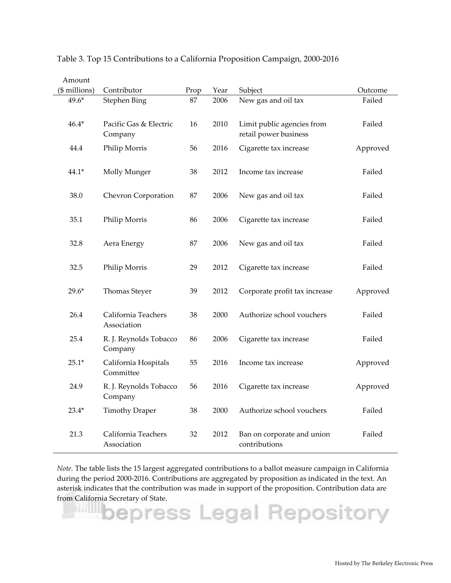| Amount        |                                    |      |      |                                                     |          |
|---------------|------------------------------------|------|------|-----------------------------------------------------|----------|
| (\$ millions) | Contributor                        | Prop | Year | Subject                                             | Outcome  |
| $49.6*$       | <b>Stephen Bing</b>                | 87   | 2006 | New gas and oil tax                                 | Failed   |
| $46.4*$       | Pacific Gas & Electric<br>Company  | 16   | 2010 | Limit public agencies from<br>retail power business | Failed   |
| 44.4          | Philip Morris                      | 56   | 2016 | Cigarette tax increase                              | Approved |
| $44.1*$       | Molly Munger                       | 38   | 2012 | Income tax increase                                 | Failed   |
| 38.0          | Chevron Corporation                | 87   | 2006 | New gas and oil tax                                 | Failed   |
| 35.1          | Philip Morris                      | 86   | 2006 | Cigarette tax increase                              | Failed   |
| 32.8          | Aera Energy                        | 87   | 2006 | New gas and oil tax                                 | Failed   |
| 32.5          | Philip Morris                      | 29   | 2012 | Cigarette tax increase                              | Failed   |
| $29.6*$       | Thomas Steyer                      | 39   | 2012 | Corporate profit tax increase                       | Approved |
| 26.4          | California Teachers<br>Association | 38   | 2000 | Authorize school vouchers                           | Failed   |
| 25.4          | R. J. Reynolds Tobacco<br>Company  | 86   | 2006 | Cigarette tax increase                              | Failed   |
| $25.1*$       | California Hospitals<br>Committee  | 55   | 2016 | Income tax increase                                 | Approved |
| 24.9          | R. J. Reynolds Tobacco<br>Company  | 56   | 2016 | Cigarette tax increase                              | Approved |
| $23.4*$       | <b>Timothy Draper</b>              | 38   | 2000 | Authorize school vouchers                           | Failed   |
| 21.3          | California Teachers<br>Association | 32   | 2012 | Ban on corporate and union<br>contributions         | Failed   |

Table 3. Top 15 Contributions to a California Proposition Campaign, 2000-2016

*Note.* The table lists the 15 largest aggregated contributions to a ballot measure campaign in California during the period 2000-2016. Contributions are aggregated by proposition as indicated in the text. An asterisk indicates that the contribution was made in support of the proposition. Contribution data are from California Secretary of State.

**Depress Legal Repository**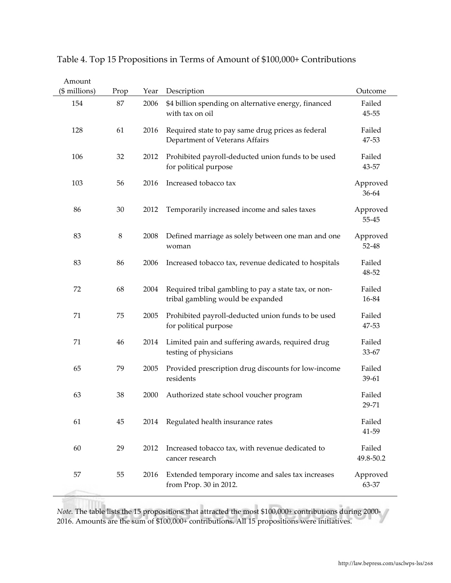| Amount        |         |      |                                                                                           |                     |
|---------------|---------|------|-------------------------------------------------------------------------------------------|---------------------|
| (\$ millions) | Prop    | Year | Description                                                                               | Outcome             |
| 154           | 87      | 2006 | \$4 billion spending on alternative energy, financed<br>with tax on oil                   | Failed<br>45-55     |
| 128           | 61      | 2016 | Required state to pay same drug prices as federal<br>Department of Veterans Affairs       | Failed<br>47-53     |
| 106           | 32      | 2012 | Prohibited payroll-deducted union funds to be used<br>for political purpose               | Failed<br>43-57     |
| 103           | 56      | 2016 | Increased tobacco tax                                                                     | Approved<br>36-64   |
| 86            | 30      | 2012 | Temporarily increased income and sales taxes                                              | Approved<br>55-45   |
| 83            | $\,8\,$ | 2008 | Defined marriage as solely between one man and one<br>woman                               | Approved<br>52-48   |
| 83            | 86      | 2006 | Increased tobacco tax, revenue dedicated to hospitals                                     | Failed<br>$48 - 52$ |
| 72            | 68      | 2004 | Required tribal gambling to pay a state tax, or non-<br>tribal gambling would be expanded | Failed<br>16-84     |
| 71            | 75      | 2005 | Prohibited payroll-deducted union funds to be used<br>for political purpose               | Failed<br>47-53     |
| 71            | 46      | 2014 | Limited pain and suffering awards, required drug<br>testing of physicians                 | Failed<br>33-67     |
| 65            | 79      | 2005 | Provided prescription drug discounts for low-income<br>residents                          | Failed<br>39-61     |
| 63            | 38      | 2000 | Authorized state school voucher program                                                   | Failed<br>29-71     |
| 61            | 45      | 2014 | Regulated health insurance rates                                                          | Failed<br>41-59     |
| 60            | 29      | 2012 | Increased tobacco tax, with revenue dedicated to<br>cancer research                       | Failed<br>49.8-50.2 |
| 57            | 55      | 2016 | Extended temporary income and sales tax increases<br>from Prop. 30 in 2012.               | Approved<br>63-37   |

Table 4. Top 15 Propositions in Terms of Amount of \$100,000+ Contributions

**UTTITTE** *Note.* The table lists the 15 propositions that attracted the most \$100,000+ contributions during 2000-2016. Amounts are the sum of \$100,000+ contributions. All 15 propositions were initiatives.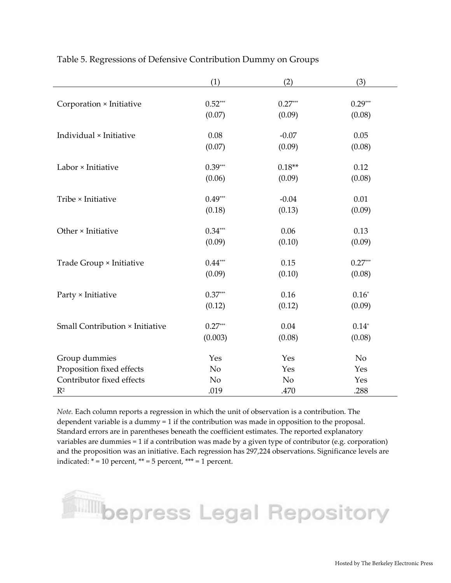|                                 | (1)            | (2)            | (3)            |
|---------------------------------|----------------|----------------|----------------|
|                                 | $0.52***$      | $0.27***$      | $0.29***$      |
| Corporation × Initiative        |                |                |                |
|                                 | (0.07)         | (0.09)         | (0.08)         |
| Individual × Initiative         | 0.08           | $-0.07$        | 0.05           |
|                                 | (0.07)         | (0.09)         | (0.08)         |
| Labor × Initiative              | $0.39***$      | $0.18**$       | 0.12           |
|                                 | (0.06)         | (0.09)         | (0.08)         |
| Tribe × Initiative              | $0.49***$      | $-0.04$        | 0.01           |
|                                 |                |                |                |
|                                 | (0.18)         | (0.13)         | (0.09)         |
| Other × Initiative              | $0.34***$      | 0.06           | 0.13           |
|                                 | (0.09)         | (0.10)         | (0.09)         |
| Trade Group × Initiative        | $0.44***$      | 0.15           | $0.27***$      |
|                                 | (0.09)         | (0.10)         | (0.08)         |
| Party × Initiative              | $0.37***$      | 0.16           | $0.16*$        |
|                                 | (0.12)         | (0.12)         | (0.09)         |
|                                 |                |                |                |
| Small Contribution × Initiative | $0.27***$      | 0.04           | $0.14*$        |
|                                 | (0.003)        | (0.08)         | (0.08)         |
| Group dummies                   | Yes            | Yes            | N <sub>o</sub> |
| Proposition fixed effects       | N <sub>o</sub> | Yes            | Yes            |
| Contributor fixed effects       | No             | N <sub>o</sub> | Yes            |
| $R^2$                           | .019           | .470           | .288           |

Table 5. Regressions of Defensive Contribution Dummy on Groups

*Note.* Each column reports a regression in which the unit of observation is a contribution. The dependent variable is a dummy = 1 if the contribution was made in opposition to the proposal. Standard errors are in parentheses beneath the coefficient estimates. The reported explanatory variables are dummies = 1 if a contribution was made by a given type of contributor (e.g. corporation) and the proposition was an initiative. Each regression has 297,224 observations. Significance levels are indicated:  $* = 10$  percent,  $** = 5$  percent,  $*** = 1$  percent.

**Mulle** bepress Legal Repository